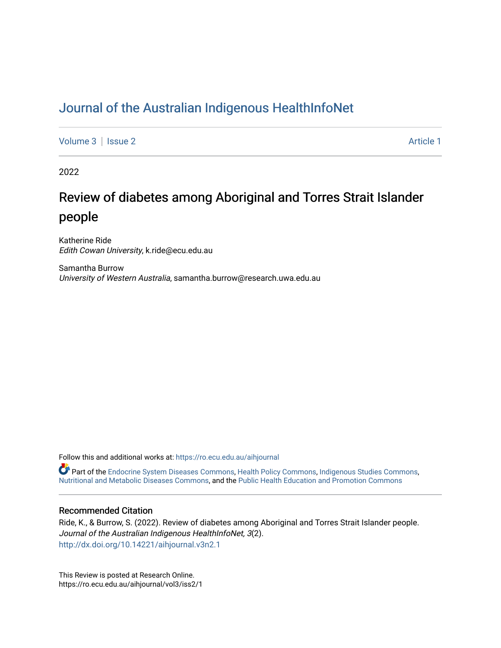# [Journal of the Australian Indigenous HealthInfoNet](https://ro.ecu.edu.au/aihjournal)

[Volume 3](https://ro.ecu.edu.au/aihjournal/vol3) | [Issue 2](https://ro.ecu.edu.au/aihjournal/vol3/iss2) Article 1

2022

# Review of diabetes among Aboriginal and Torres Strait Islander people

Katherine Ride Edith Cowan University, k.ride@ecu.edu.au

Samantha Burrow University of Western Australia, samantha.burrow@research.uwa.edu.au

Follow this and additional works at: [https://ro.ecu.edu.au/aihjournal](https://ro.ecu.edu.au/aihjournal?utm_source=ro.ecu.edu.au%2Faihjournal%2Fvol3%2Fiss2%2F1&utm_medium=PDF&utm_campaign=PDFCoverPages) 

Part of the [Endocrine System Diseases Commons](https://network.bepress.com/hgg/discipline/969?utm_source=ro.ecu.edu.au%2Faihjournal%2Fvol3%2Fiss2%2F1&utm_medium=PDF&utm_campaign=PDFCoverPages), [Health Policy Commons,](https://network.bepress.com/hgg/discipline/395?utm_source=ro.ecu.edu.au%2Faihjournal%2Fvol3%2Fiss2%2F1&utm_medium=PDF&utm_campaign=PDFCoverPages) [Indigenous Studies Commons,](https://network.bepress.com/hgg/discipline/571?utm_source=ro.ecu.edu.au%2Faihjournal%2Fvol3%2Fiss2%2F1&utm_medium=PDF&utm_campaign=PDFCoverPages) [Nutritional and Metabolic Diseases Commons](https://network.bepress.com/hgg/discipline/1003?utm_source=ro.ecu.edu.au%2Faihjournal%2Fvol3%2Fiss2%2F1&utm_medium=PDF&utm_campaign=PDFCoverPages), and the [Public Health Education and Promotion Commons](https://network.bepress.com/hgg/discipline/743?utm_source=ro.ecu.edu.au%2Faihjournal%2Fvol3%2Fiss2%2F1&utm_medium=PDF&utm_campaign=PDFCoverPages) 

# Recommended Citation

Ride, K., & Burrow, S. (2022). Review of diabetes among Aboriginal and Torres Strait Islander people. Journal of the Australian Indigenous HealthInfoNet, 3(2). <http://dx.doi.org/10.14221/aihjournal.v3n2.1>

This Review is posted at Research Online. https://ro.ecu.edu.au/aihjournal/vol3/iss2/1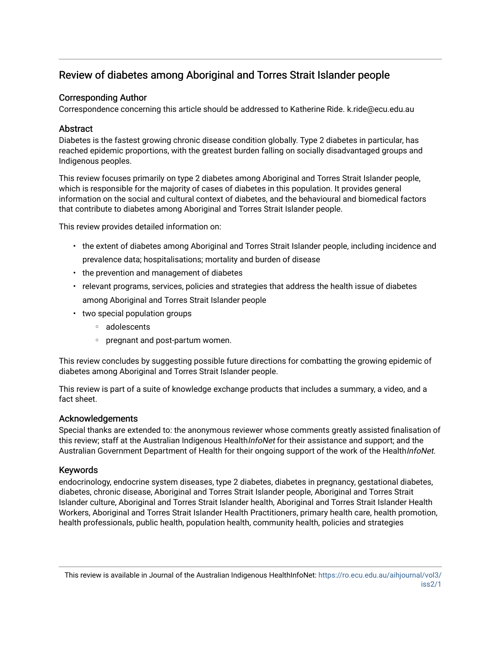# Review of diabetes among Aboriginal and Torres Strait Islander people

# Corresponding Author

Correspondence concerning this article should be addressed to Katherine Ride. k.ride@ecu.edu.au

# **Abstract**

Diabetes is the fastest growing chronic disease condition globally. Type 2 diabetes in particular, has reached epidemic proportions, with the greatest burden falling on socially disadvantaged groups and Indigenous peoples.

This review focuses primarily on type 2 diabetes among Aboriginal and Torres Strait Islander people, which is responsible for the majority of cases of diabetes in this population. It provides general information on the social and cultural context of diabetes, and the behavioural and biomedical factors that contribute to diabetes among Aboriginal and Torres Strait Islander people.

This review provides detailed information on:

- the extent of diabetes among Aboriginal and Torres Strait Islander people, including incidence and prevalence data; hospitalisations; mortality and burden of disease
- the prevention and management of diabetes
- relevant programs, services, policies and strategies that address the health issue of diabetes among Aboriginal and Torres Strait Islander people
- two special population groups
	- adolescents
	- pregnant and post-partum women.

This review concludes by suggesting possible future directions for combatting the growing epidemic of diabetes among Aboriginal and Torres Strait Islander people.

This review is part of a suite of knowledge exchange products that includes a summary, a video, and a fact sheet.

# Acknowledgements

Special thanks are extended to: the anonymous reviewer whose comments greatly assisted finalisation of this review; staff at the Australian Indigenous Health/nfoNet for their assistance and support; and the Australian Government Department of Health for their ongoing support of the work of the HealthInfoNet.

# Keywords

endocrinology, endocrine system diseases, type 2 diabetes, diabetes in pregnancy, gestational diabetes, diabetes, chronic disease, Aboriginal and Torres Strait Islander people, Aboriginal and Torres Strait Islander culture, Aboriginal and Torres Strait Islander health, Aboriginal and Torres Strait Islander Health Workers, Aboriginal and Torres Strait Islander Health Practitioners, primary health care, health promotion, health professionals, public health, population health, community health, policies and strategies

This review is available in Journal of the Australian Indigenous HealthInfoNet: [https://ro.ecu.edu.au/aihjournal/vol3/](https://ro.ecu.edu.au/aihjournal/vol3/iss2/1) [iss2/1](https://ro.ecu.edu.au/aihjournal/vol3/iss2/1)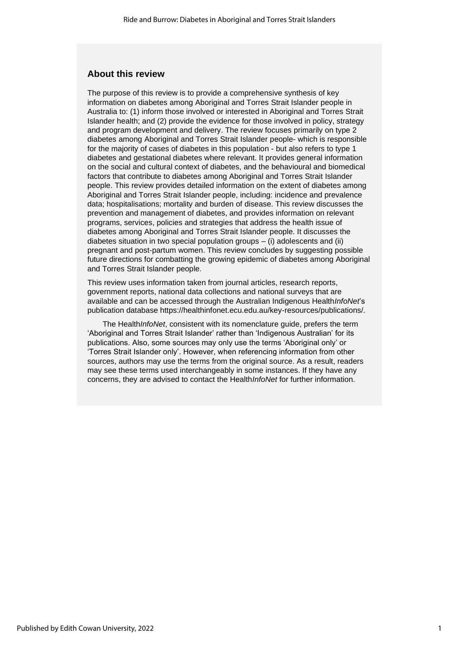# **About this review**

The purpose of this review is to provide a comprehensive synthesis of key information on diabetes among Aboriginal and Torres Strait Islander people in Australia to: (1) inform those involved or interested in Aboriginal and Torres Strait Islander health; and (2) provide the evidence for those involved in policy, strategy and program development and delivery. The review focuses primarily on type 2 diabetes among Aboriginal and Torres Strait Islander people- which is responsible for the majority of cases of diabetes in this population - but also refers to type 1 diabetes and gestational diabetes where relevant. It provides general information on the social and cultural context of diabetes, and the behavioural and biomedical factors that contribute to diabetes among Aboriginal and Torres Strait Islander people. This review provides detailed information on the extent of diabetes among Aboriginal and Torres Strait Islander people, including: incidence and prevalence data; hospitalisations; mortality and burden of disease. This review discusses the prevention and management of diabetes, and provides information on relevant programs, services, policies and strategies that address the health issue of diabetes among Aboriginal and Torres Strait Islander people. It discusses the diabetes situation in two special population groups  $-$  (i) adolescents and (ii) pregnant and post-partum women. This review concludes by suggesting possible future directions for combatting the growing epidemic of diabetes among Aboriginal and Torres Strait Islander people.

This review uses information taken from journal articles, research reports, government reports, national data collections and national surveys that are available and can be accessed through the Australian Indigenous Health*InfoNet*'s publication database https://healthinfonet.ecu.edu.au/key-resources/publications/.

The Health*InfoNet*, consistent with its nomenclature guide, prefers the term 'Aboriginal and Torres Strait Islander' rather than 'Indigenous Australian' for its publications. Also, some sources may only use the terms 'Aboriginal only' or 'Torres Strait Islander only'. However, when referencing information from other sources, authors may use the terms from the original source. As a result, readers may see these terms used interchangeably in some instances. If they have any concerns, they are advised to contact the Health*InfoNet* for further information.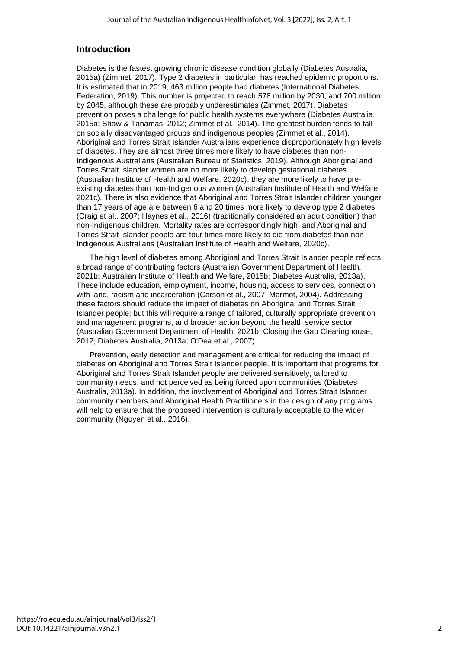# **Introduction**

Diabetes is the fastest growing chronic disease condition globally (Diabetes Australia, 2015a) (Zimmet, 2017). Type 2 diabetes in particular, has reached epidemic proportions. It is estimated that in 2019, 463 million people had diabetes (International Diabetes Federation, 2019). This number is projected to reach 578 million by 2030, and 700 million by 2045, although these are probably underestimates (Zimmet, 2017). Diabetes prevention poses a challenge for public health systems everywhere (Diabetes Australia, 2015a; Shaw & Tanamas, 2012; Zimmet et al., 2014). The greatest burden tends to fall on socially disadvantaged groups and indigenous peoples (Zimmet et al., 2014). Aboriginal and Torres Strait Islander Australians experience disproportionately high levels of diabetes. They are almost three times more likely to have diabetes than non-Indigenous Australians (Australian Bureau of Statistics, 2019). Although Aboriginal and Torres Strait Islander women are no more likely to develop gestational diabetes (Australian Institute of Health and Welfare, 2020c), they are more likely to have preexisting diabetes than non-Indigenous women (Australian Institute of Health and Welfare, 2021c). There is also evidence that Aboriginal and Torres Strait Islander children younger than 17 years of age are between 6 and 20 times more likely to develop type 2 diabetes (Craig et al., 2007; Haynes et al., 2016) (traditionally considered an adult condition) than non-Indigenous children. Mortality rates are correspondingly high, and Aboriginal and Torres Strait Islander people are four times more likely to die from diabetes than non-Indigenous Australians (Australian Institute of Health and Welfare, 2020c).

The high level of diabetes among Aboriginal and Torres Strait Islander people reflects a broad range of contributing factors (Australian Government Department of Health, 2021b; Australian Institute of Health and Welfare, 2015b; Diabetes Australia, 2013a). These include education, employment, income, housing, access to services, connection with land, racism and incarceration (Carson et al., 2007; Marmot, 2004). Addressing these factors should reduce the impact of diabetes on Aboriginal and Torres Strait Islander people; but this will require a range of tailored, culturally appropriate prevention and management programs, and broader action beyond the health service sector (Australian Government Department of Health, 2021b; Closing the Gap Clearinghouse, 2012; Diabetes Australia, 2013a; O'Dea et al., 2007).

Prevention, early detection and management are critical for reducing the impact of diabetes on Aboriginal and Torres Strait Islander people. It is important that programs for Aboriginal and Torres Strait Islander people are delivered sensitively, tailored to community needs, and not perceived as being forced upon communities (Diabetes Australia, 2013a). In addition, the involvement of Aboriginal and Torres Strait Islander community members and Aboriginal Health Practitioners in the design of any programs will help to ensure that the proposed intervention is culturally acceptable to the wider community (Nguyen et al., 2016).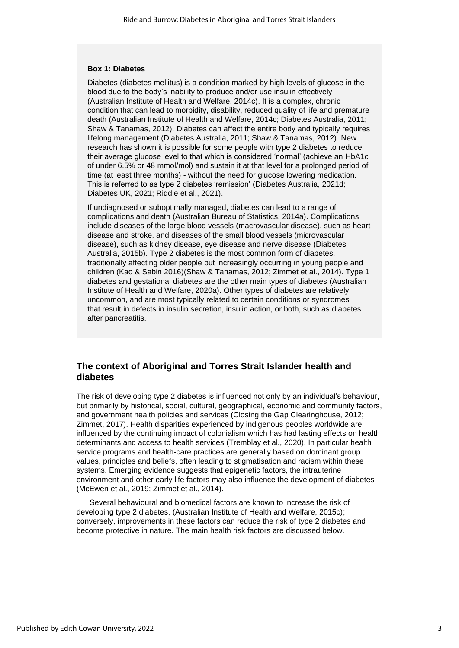#### **Box 1: Diabetes**

Diabetes (diabetes mellitus) is a condition marked by high levels of glucose in the blood due to the body's inability to produce and/or use insulin effectively (Australian Institute of Health and Welfare, 2014c). It is a complex, chronic condition that can lead to morbidity, disability, reduced quality of life and premature death (Australian Institute of Health and Welfare, 2014c; Diabetes Australia, 2011; Shaw & Tanamas, 2012). Diabetes can affect the entire body and typically requires lifelong management (Diabetes Australia, 2011; Shaw & Tanamas, 2012). New research has shown it is possible for some people with type 2 diabetes to reduce their average glucose level to that which is considered 'normal' (achieve an HbA1c of under 6.5% or 48 mmol/mol) and sustain it at that level for a prolonged period of time (at least three months) - without the need for glucose lowering medication. This is referred to as type 2 diabetes 'remission' (Diabetes Australia, 2021d; Diabetes UK, 2021; Riddle et al., 2021).

If undiagnosed or suboptimally managed, diabetes can lead to a range of complications and death (Australian Bureau of Statistics, 2014a). Complications include diseases of the large blood vessels (macrovascular disease), such as heart disease and stroke, and diseases of the small blood vessels (microvascular disease), such as kidney disease, eye disease and nerve disease (Diabetes Australia, 2015b). Type 2 diabetes is the most common form of diabetes, traditionally affecting older people but increasingly occurring in young people and children (Kao & Sabin 2016)(Shaw & Tanamas, 2012; Zimmet et al., 2014). Type 1 diabetes and gestational diabetes are the other main types of diabetes (Australian Institute of Health and Welfare, 2020a). Other types of diabetes are relatively uncommon, and are most typically related to certain conditions or syndromes that result in defects in insulin secretion, insulin action, or both, such as diabetes after pancreatitis.

# **The context of Aboriginal and Torres Strait Islander health and diabetes**

The risk of developing type 2 diabetes is influenced not only by an individual's behaviour, but primarily by historical, social, cultural, geographical, economic and community factors, and government health policies and services (Closing the Gap Clearinghouse, 2012; Zimmet, 2017). Health disparities experienced by indigenous peoples worldwide are influenced by the continuing impact of colonialism which has had lasting effects on health determinants and access to health services (Tremblay et al., 2020). In particular health service programs and health-care practices are generally based on dominant group values, principles and beliefs, often leading to stigmatisation and racism within these systems. Emerging evidence suggests that epigenetic factors, the intrauterine environment and other early life factors may also influence the development of diabetes (McEwen et al., 2019; Zimmet et al., 2014).

Several behavioural and biomedical factors are known to increase the risk of developing type 2 diabetes, (Australian Institute of Health and Welfare, 2015c); conversely, improvements in these factors can reduce the risk of type 2 diabetes and become protective in nature. The main health risk factors are discussed below.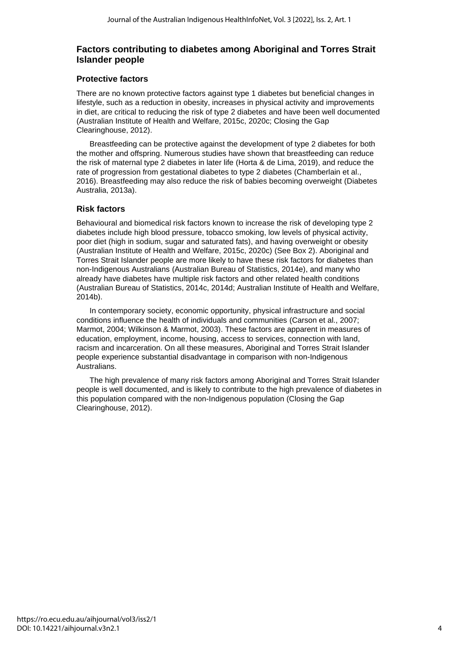# **Factors contributing to diabetes among Aboriginal and Torres Strait Islander people**

# **Protective factors**

There are no known protective factors against type 1 diabetes but beneficial changes in lifestyle, such as a reduction in obesity, increases in physical activity and improvements in diet, are critical to reducing the risk of type 2 diabetes and have been well documented (Australian Institute of Health and Welfare, 2015c, 2020c; Closing the Gap Clearinghouse, 2012).

Breastfeeding can be protective against the development of type 2 diabetes for both the mother and offspring. Numerous studies have shown that breastfeeding can reduce the risk of maternal type 2 diabetes in later life (Horta & de Lima, 2019), and reduce the rate of progression from gestational diabetes to type 2 diabetes (Chamberlain et al., 2016). Breastfeeding may also reduce the risk of babies becoming overweight (Diabetes Australia, 2013a).

# **Risk factors**

Behavioural and biomedical risk factors known to increase the risk of developing type 2 diabetes include high blood pressure, tobacco smoking, low levels of physical activity, poor diet (high in sodium, sugar and saturated fats), and having overweight or obesity (Australian Institute of Health and Welfare, 2015c, 2020c) (See Box 2). Aboriginal and Torres Strait Islander people are more likely to have these risk factors for diabetes than non-Indigenous Australians (Australian Bureau of Statistics, 2014e), and many who already have diabetes have multiple risk factors and other related health conditions (Australian Bureau of Statistics, 2014c, 2014d; Australian Institute of Health and Welfare, 2014b).

In contemporary society, economic opportunity, physical infrastructure and social conditions influence the health of individuals and communities (Carson et al., 2007; Marmot, 2004; Wilkinson & Marmot, 2003). These factors are apparent in measures of education, employment, income, housing, access to services, connection with land, racism and incarceration. On all these measures, Aboriginal and Torres Strait Islander people experience substantial disadvantage in comparison with non-Indigenous Australians.

The high prevalence of many risk factors among Aboriginal and Torres Strait Islander people is well documented, and is likely to contribute to the high prevalence of diabetes in this population compared with the non-Indigenous population (Closing the Gap Clearinghouse, 2012).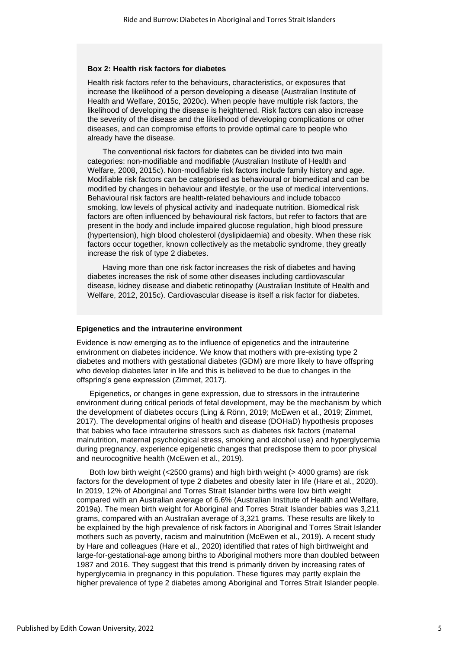#### **Box 2: Health risk factors for diabetes**

Health risk factors refer to the behaviours, characteristics, or exposures that increase the likelihood of a person developing a disease (Australian Institute of Health and Welfare, 2015c, 2020c). When people have multiple risk factors, the likelihood of developing the disease is heightened. Risk factors can also increase the severity of the disease and the likelihood of developing complications or other diseases, and can compromise efforts to provide optimal care to people who already have the disease.

The conventional risk factors for diabetes can be divided into two main categories: non-modifiable and modifiable (Australian Institute of Health and Welfare, 2008, 2015c). Non-modifiable risk factors include family history and age. Modifiable risk factors can be categorised as behavioural or biomedical and can be modified by changes in behaviour and lifestyle, or the use of medical interventions. Behavioural risk factors are health-related behaviours and include tobacco smoking, low levels of physical activity and inadequate nutrition. Biomedical risk factors are often influenced by behavioural risk factors, but refer to factors that are present in the body and include impaired glucose regulation, high blood pressure (hypertension), high blood cholesterol (dyslipidaemia) and obesity. When these risk factors occur together, known collectively as the metabolic syndrome, they greatly increase the risk of type 2 diabetes.

Having more than one risk factor increases the risk of diabetes and having diabetes increases the risk of some other diseases including cardiovascular disease, kidney disease and diabetic retinopathy (Australian Institute of Health and Welfare, 2012, 2015c). Cardiovascular disease is itself a risk factor for diabetes.

#### **Epigenetics and the intrauterine environment**

Evidence is now emerging as to the influence of epigenetics and the intrauterine environment on diabetes incidence. We know that mothers with pre-existing type 2 diabetes and mothers with gestational diabetes (GDM) are more likely to have offspring who develop diabetes later in life and this is believed to be due to changes in the offspring's gene expression (Zimmet, 2017).

Epigenetics, or changes in gene expression, due to stressors in the intrauterine environment during critical periods of fetal development, may be the mechanism by which the development of diabetes occurs (Ling & Rönn, 2019; McEwen et al., 2019; Zimmet, 2017). The developmental origins of health and disease (DOHaD) hypothesis proposes that babies who face intrauterine stressors such as diabetes risk factors (maternal malnutrition, maternal psychological stress, smoking and alcohol use) and hyperglycemia during pregnancy, experience epigenetic changes that predispose them to poor physical and neurocognitive health (McEwen et al., 2019).

Both low birth weight (<2500 grams) and high birth weight (> 4000 grams) are risk factors for the development of type 2 diabetes and obesity later in life (Hare et al., 2020). In 2019, 12% of Aboriginal and Torres Strait Islander births were low birth weight compared with an Australian average of 6.6% (Australian Institute of Health and Welfare, 2019a). The mean birth weight for Aboriginal and Torres Strait Islander babies was 3,211 grams, compared with an Australian average of 3,321 grams. These results are likely to be explained by the high prevalence of risk factors in Aboriginal and Torres Strait Islander mothers such as poverty, racism and malnutrition (McEwen et al., 2019). A recent study by Hare and colleagues (Hare et al., 2020) identified that rates of high birthweight and large-for-gestational-age among births to Aboriginal mothers more than doubled between 1987 and 2016. They suggest that this trend is primarily driven by increasing rates of hyperglycemia in pregnancy in this population. These figures may partly explain the higher prevalence of type 2 diabetes among Aboriginal and Torres Strait Islander people.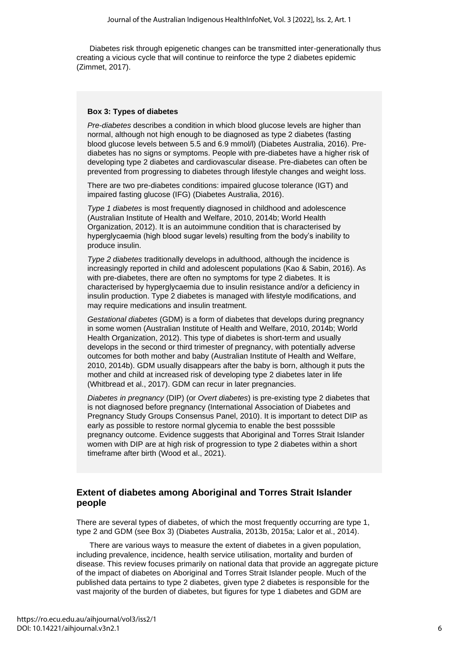Diabetes risk through epigenetic changes can be transmitted inter-generationally thus creating a vicious cycle that will continue to reinforce the type 2 diabetes epidemic (Zimmet, 2017).

#### **Box 3: Types of diabetes**

*Pre-diabetes* describes a condition in which blood glucose levels are higher than normal, although not high enough to be diagnosed as type 2 diabetes (fasting blood glucose levels between 5.5 and 6.9 mmol/l) (Diabetes Australia, 2016). Prediabetes has no signs or symptoms. People with pre-diabetes have a higher risk of developing type 2 diabetes and cardiovascular disease. Pre-diabetes can often be prevented from progressing to diabetes through lifestyle changes and weight loss.

There are two pre-diabetes conditions: impaired glucose tolerance (IGT) and impaired fasting glucose (IFG) (Diabetes Australia, 2016).

*Type 1 diabetes* is most frequently diagnosed in childhood and adolescence (Australian Institute of Health and Welfare, 2010, 2014b; World Health Organization, 2012). It is an autoimmune condition that is characterised by hyperglycaemia (high blood sugar levels) resulting from the body's inability to produce insulin.

*Type 2 diabetes* traditionally develops in adulthood, although the incidence is increasingly reported in child and adolescent populations (Kao & Sabin, 2016). As with pre-diabetes, there are often no symptoms for type 2 diabetes. It is characterised by hyperglycaemia due to insulin resistance and/or a deficiency in insulin production. Type 2 diabetes is managed with lifestyle modifications, and may require medications and insulin treatment.

*Gestational diabetes* (GDM) is a form of diabetes that develops during pregnancy in some women (Australian Institute of Health and Welfare, 2010, 2014b; World Health Organization, 2012). This type of diabetes is short-term and usually develops in the second or third trimester of pregnancy, with potentially adverse outcomes for both mother and baby (Australian Institute of Health and Welfare, 2010, 2014b). GDM usually disappears after the baby is born, although it puts the mother and child at increased risk of developing type 2 diabetes later in life (Whitbread et al., 2017). GDM can recur in later pregnancies.

*Diabetes in pregnancy* (DIP) (or *Overt diabetes*) is pre-existing type 2 diabetes that is not diagnosed before pregnancy (International Association of Diabetes and Pregnancy Study Groups Consensus Panel, 2010). It is important to detect DIP as early as possible to restore normal glycemia to enable the best posssible pregnancy outcome. Evidence suggests that Aboriginal and Torres Strait Islander women with DIP are at high risk of progression to type 2 diabetes within a short timeframe after birth (Wood et al., 2021).

# **Extent of diabetes among Aboriginal and Torres Strait Islander people**

There are several types of diabetes, of which the most frequently occurring are type 1, type 2 and GDM (see Box 3) (Diabetes Australia, 2013b, 2015a; Lalor et al., 2014).

There are various ways to measure the extent of diabetes in a given population, including prevalence, incidence, health service utilisation, mortality and burden of disease. This review focuses primarily on national data that provide an aggregate picture of the impact of diabetes on Aboriginal and Torres Strait Islander people. Much of the published data pertains to type 2 diabetes, given type 2 diabetes is responsible for the vast majority of the burden of diabetes, but figures for type 1 diabetes and GDM are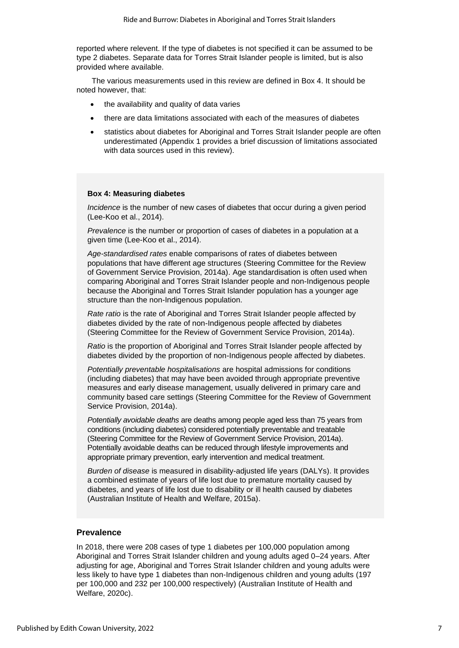reported where relevent. If the type of diabetes is not specified it can be assumed to be type 2 diabetes. Separate data for Torres Strait Islander people is limited, but is also provided where available.

The various measurements used in this review are defined in Box 4. It should be noted however, that:

- the availability and quality of data varies
- there are data limitations associated with each of the measures of diabetes
- statistics about diabetes for Aboriginal and Torres Strait Islander people are often underestimated (Appendix 1 provides a brief discussion of limitations associated with data sources used in this review).

#### **Box 4: Measuring diabetes**

*Incidence* is the number of new cases of diabetes that occur during a given period (Lee-Koo et al., 2014).

*Prevalence* is the number or proportion of cases of diabetes in a population at a given time (Lee-Koo et al., 2014).

*Age-standardised rates* enable comparisons of rates of diabetes between populations that have different age structures (Steering Committee for the Review of Government Service Provision, 2014a). Age standardisation is often used when comparing Aboriginal and Torres Strait Islander people and non-Indigenous people because the Aboriginal and Torres Strait Islander population has a younger age structure than the non-Indigenous population.

*Rate ratio* is the rate of Aboriginal and Torres Strait Islander people affected by diabetes divided by the rate of non-Indigenous people affected by diabetes (Steering Committee for the Review of Government Service Provision, 2014a).

*Ratio* is the proportion of Aboriginal and Torres Strait Islander people affected by diabetes divided by the proportion of non-Indigenous people affected by diabetes.

*Potentially preventable hospitalisations* are hospital admissions for conditions (including diabetes) that may have been avoided through appropriate preventive measures and early disease management, usually delivered in primary care and community based care settings (Steering Committee for the Review of Government Service Provision, 2014a).

*Potentially avoidable deaths* are deaths among people aged less than 75 years from conditions (including diabetes) considered potentially preventable and treatable (Steering Committee for the Review of Government Service Provision, 2014a). Potentially avoidable deaths can be reduced through lifestyle improvements and appropriate primary prevention, early intervention and medical treatment.

*Burden of disease* is measured in disability-adjusted life years (DALYs). It provides a combined estimate of years of life lost due to premature mortality caused by diabetes, and years of life lost due to disability or ill health caused by diabetes (Australian Institute of Health and Welfare, 2015a).

### **Prevalence**

In 2018, there were 208 cases of type 1 diabetes per 100,000 population among Aboriginal and Torres Strait Islander children and young adults aged 0–24 years. After adjusting for age, Aboriginal and Torres Strait Islander children and young adults were less likely to have type 1 diabetes than non-Indigenous children and young adults (197 per 100,000 and 232 per 100,000 respectively) (Australian Institute of Health and Welfare, 2020c).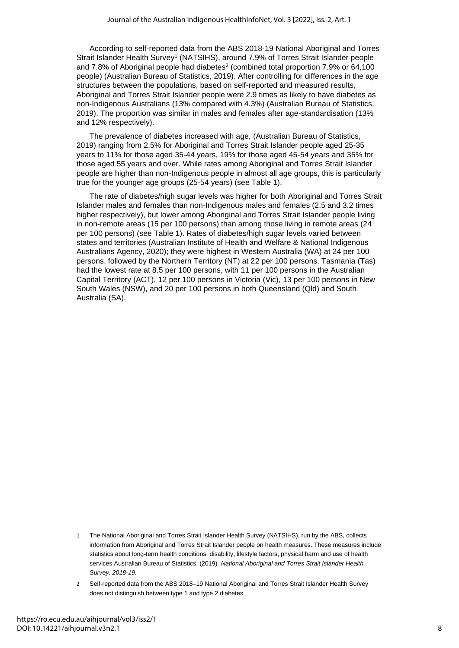According to self-reported data from the ABS 2018-19 National Aboriginal and Torres Strait Islander Health Survey<sup>1</sup> (NATSIHS), around 7.9% of Torres Strait Islander people and 7.8% of Aboriginal people had diabetes<sup>2</sup> (combined total proportion 7.9% or 64,100 people) (Australian Bureau of Statistics, 2019). After controlling for differences in the age structures between the populations, based on self-reported and measured results, Aboriginal and Torres Strait Islander people were 2.9 times as likely to have diabetes as non-Indigenous Australians (13% compared with 4.3%) (Australian Bureau of Statistics, 2019). The proportion was similar in males and females after age-standardisation (13% and 12% respectively).

The prevalence of diabetes increased with age, (Australian Bureau of Statistics, 2019) ranging from 2.5% for Aboriginal and Torres Strait Islander people aged 25-35 years to 11% for those aged 35-44 years, 19% for those aged 45-54 years and 35% for those aged 55 years and over. While rates among Aboriginal and Torres Strait Islander people are higher than non-Indigenous people in almost all age groups, this is particularly true for the younger age groups (25-54 years) (see Table 1).

The rate of diabetes/high sugar levels was higher for both Aboriginal and Torres Strait Islander males and females than non-Indigenous males and females (2.5 and 3.2 times higher respectively), but lower among Aboriginal and Torres Strait Islander people living in non-remote areas (15 per 100 persons) than among those living in remote areas (24 per 100 persons) (see Table 1). Rates of diabetes/high sugar levels varied between states and territories (Australian Institute of Health and Welfare & National Indigenous Australians Agency, 2020); they were highest in Western Australia (WA) at 24 per 100 persons, followed by the Northern Territory (NT) at 22 per 100 persons. Tasmania (Tas) had the lowest rate at 8.5 per 100 persons, with 11 per 100 persons in the Australian Capital Territory (ACT), 12 per 100 persons in Victoria (Vic), 13 per 100 persons in New South Wales (NSW), and 20 per 100 persons in both Queensland (Qld) and South Australia (SA).

<sup>1</sup> The National Aboriginal and Torres Strait Islander Health Survey (NATSIHS), run by the ABS, collects information from Aboriginal and Torres Strait Islander people on health measures. These measures include statistics about long-term health conditions, disability, lifestyle factors, physical harm and use of health services Australian Bureau of Statistics. (2019). *National Aboriginal and Torres Strait Islander Health Survey, 2018-19*.

<sup>2</sup> Self-reported data from the ABS 2018–19 National Aboriginal and Torres Strait Islander Health Survey does not distinguish between type 1 and type 2 diabetes.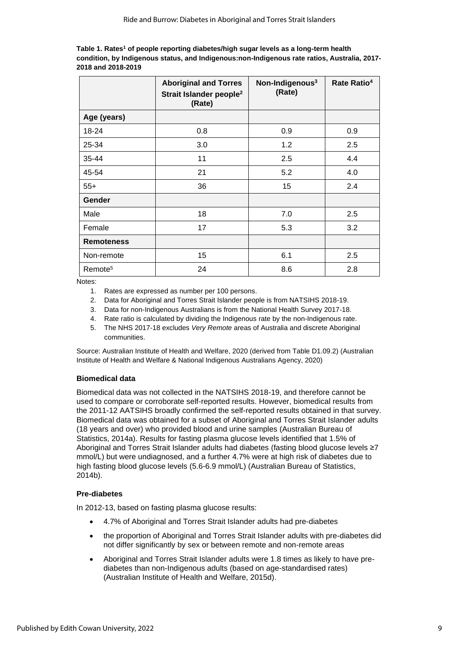| Table 1. Rates <sup>1</sup> of people reporting diabetes/high sugar levels as a long-term health |
|--------------------------------------------------------------------------------------------------|
| condition, by Indigenous status, and Indigenous:non-Indigenous rate ratios, Australia, 2017-     |
| 2018 and 2018-2019                                                                               |

|                     | <b>Aboriginal and Torres</b><br>Strait Islander people <sup>2</sup><br>(Rate) | Non-Indigenous <sup>3</sup><br>(Rate) | Rate Ratio <sup>4</sup> |
|---------------------|-------------------------------------------------------------------------------|---------------------------------------|-------------------------|
| Age (years)         |                                                                               |                                       |                         |
| 18-24               | 0.8                                                                           | 0.9                                   | 0.9                     |
| 25-34               | 3.0                                                                           | 1.2                                   | 2.5                     |
| 35-44               | 11                                                                            | 2.5                                   | 4.4                     |
| 45-54               | 21                                                                            | 5.2                                   | 4.0                     |
| $55+$               | 36                                                                            | 15                                    | 2.4                     |
| <b>Gender</b>       |                                                                               |                                       |                         |
| Male                | 18                                                                            | 7.0                                   | 2.5                     |
| Female              | 17                                                                            | 5.3                                   | 3.2                     |
| <b>Remoteness</b>   |                                                                               |                                       |                         |
| Non-remote          | 15                                                                            | 6.1                                   | 2.5                     |
| Remote <sup>5</sup> | 24                                                                            | 8.6                                   | 2.8                     |

Notes:

- 1. Rates are expressed as number per 100 persons.
- 2. Data for Aboriginal and Torres Strait Islander people is from NATSIHS 2018-19.
- 3. Data for non-Indigenous Australians is from the National Health Survey 2017-18.
- 4. Rate ratio is calculated by dividing the Indigenous rate by the non-Indigenous rate.
- 5. The NHS 2017-18 excludes *Very Remote* areas of Australia and discrete Aboriginal communities.

Source: Australian Institute of Health and Welfare, 2020 (derived from Table D1.09.2) (Australian Institute of Health and Welfare & National Indigenous Australians Agency, 2020)

#### **Biomedical data**

Biomedical data was not collected in the NATSIHS 2018-19, and therefore cannot be used to compare or corroborate self-reported results. However, biomedical results from the 2011-12 AATSIHS broadly confirmed the self-reported results obtained in that survey. Biomedical data was obtained for a subset of Aboriginal and Torres Strait Islander adults (18 years and over) who provided blood and urine samples (Australian Bureau of Statistics, 2014a). Results for fasting plasma glucose levels identified that 1.5% of Aboriginal and Torres Strait Islander adults had diabetes (fasting blood glucose levels ≥7 mmol/L) but were undiagnosed, and a further 4.7% were at high risk of diabetes due to high fasting blood glucose levels (5.6-6.9 mmol/L) (Australian Bureau of Statistics, 2014b).

#### **Pre-diabetes**

In 2012-13, based on fasting plasma glucose results:

- 4.7% of Aboriginal and Torres Strait Islander adults had pre-diabetes
- the proportion of Aboriginal and Torres Strait Islander adults with pre-diabetes did not differ significantly by sex or between remote and non-remote areas
- Aboriginal and Torres Strait Islander adults were 1.8 times as likely to have prediabetes than non-Indigenous adults (based on age-standardised rates) (Australian Institute of Health and Welfare, 2015d).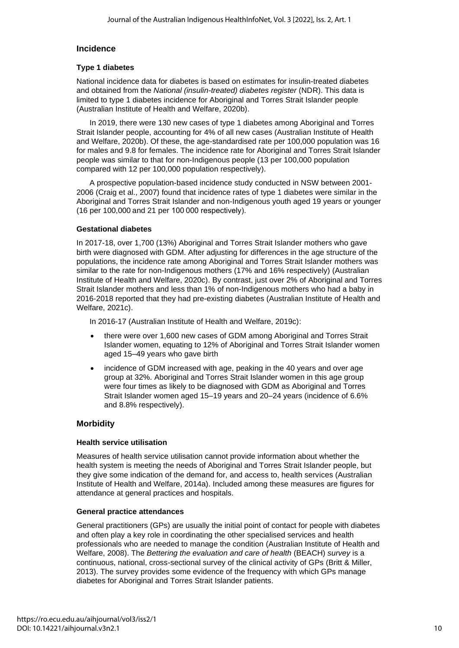# **Incidence**

# **Type 1 diabetes**

National incidence data for diabetes is based on estimates for insulin-treated diabetes and obtained from the *National (insulin-treated) diabetes register* (NDR). This data is limited to type 1 diabetes incidence for Aboriginal and Torres Strait Islander people (Australian Institute of Health and Welfare, 2020b).

In 2019, there were 130 new cases of type 1 diabetes among Aboriginal and Torres Strait Islander people, accounting for 4% of all new cases (Australian Institute of Health and Welfare, 2020b). Of these, the age-standardised rate per 100,000 population was 16 for males and 9.8 for females. The incidence rate for Aboriginal and Torres Strait Islander people was similar to that for non-Indigenous people (13 per 100,000 population compared with 12 per 100,000 population respectively).

A prospective population-based incidence study conducted in NSW between 2001- 2006 (Craig et al., 2007) found that incidence rates of type 1 diabetes were similar in the Aboriginal and Torres Strait Islander and non-Indigenous youth aged 19 years or younger (16 per 100,000 and 21 per 100 000 respectively).

### **Gestational diabetes**

In 2017-18, over 1,700 (13%) Aboriginal and Torres Strait Islander mothers who gave birth were diagnosed with GDM. After adjusting for differences in the age structure of the populations, the incidence rate among Aboriginal and Torres Strait Islander mothers was similar to the rate for non-Indigenous mothers (17% and 16% respectively) (Australian Institute of Health and Welfare, 2020c). By contrast, just over 2% of Aboriginal and Torres Strait Islander mothers and less than 1% of non-Indigenous mothers who had a baby in 2016-2018 reported that they had pre-existing diabetes (Australian Institute of Health and Welfare, 2021c).

In 2016-17 (Australian Institute of Health and Welfare, 2019c):

- there were over 1,600 new cases of GDM among Aboriginal and Torres Strait Islander women, equating to 12% of Aboriginal and Torres Strait Islander women aged 15–49 years who gave birth
- incidence of GDM increased with age, peaking in the 40 years and over age group at 32%. Aboriginal and Torres Strait Islander women in this age group were four times as likely to be diagnosed with GDM as Aboriginal and Torres Strait Islander women aged 15–19 years and 20–24 years (incidence of 6.6% and 8.8% respectively).

# **Morbidity**

#### **Health service utilisation**

Measures of health service utilisation cannot provide information about whether the health system is meeting the needs of Aboriginal and Torres Strait Islander people, but they give some indication of the demand for, and access to, health services (Australian Institute of Health and Welfare, 2014a). Included among these measures are figures for attendance at general practices and hospitals.

#### **General practice attendances**

General practitioners (GPs) are usually the initial point of contact for people with diabetes and often play a key role in coordinating the other specialised services and health professionals who are needed to manage the condition (Australian Institute of Health and Welfare, 2008). The *Bettering the evaluation and care of health* (BEACH) *survey* is a continuous, national, cross-sectional survey of the clinical activity of GPs (Britt & Miller, 2013). The survey provides some evidence of the frequency with which GPs manage diabetes for Aboriginal and Torres Strait Islander patients.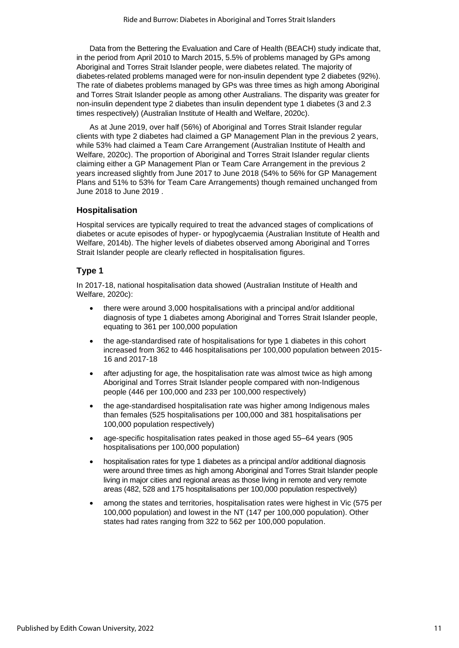Data from the Bettering the Evaluation and Care of Health (BEACH) study indicate that, in the period from April 2010 to March 2015, 5.5% of problems managed by GPs among Aboriginal and Torres Strait Islander people, were diabetes related. The majority of diabetes-related problems managed were for non-insulin dependent type 2 diabetes (92%). The rate of diabetes problems managed by GPs was three times as high among Aboriginal and Torres Strait Islander people as among other Australians. The disparity was greater for non-insulin dependent type 2 diabetes than insulin dependent type 1 diabetes (3 and 2.3 times respectively) (Australian Institute of Health and Welfare, 2020c).

As at June 2019, over half (56%) of Aboriginal and Torres Strait Islander regular clients with type 2 diabetes had claimed a GP Management Plan in the previous 2 years, while 53% had claimed a Team Care Arrangement (Australian Institute of Health and Welfare, 2020c). The proportion of Aboriginal and Torres Strait Islander regular clients claiming either a GP Management Plan or Team Care Arrangement in the previous 2 years increased slightly from June 2017 to June 2018 (54% to 56% for GP Management Plans and 51% to 53% for Team Care Arrangements) though remained unchanged from June 2018 to June 2019 .

# **Hospitalisation**

Hospital services are typically required to treat the advanced stages of complications of diabetes or acute episodes of hyper- or hypoglycaemia (Australian Institute of Health and Welfare, 2014b). The higher levels of diabetes observed among Aboriginal and Torres Strait Islander people are clearly reflected in hospitalisation figures.

#### **Type 1**

In 2017-18, national hospitalisation data showed (Australian Institute of Health and Welfare, 2020c):

- there were around 3,000 hospitalisations with a principal and/or additional diagnosis of type 1 diabetes among Aboriginal and Torres Strait Islander people, equating to 361 per 100,000 population
- the age-standardised rate of hospitalisations for type 1 diabetes in this cohort increased from 362 to 446 hospitalisations per 100,000 population between 2015- 16 and 2017-18
- after adjusting for age, the hospitalisation rate was almost twice as high among Aboriginal and Torres Strait Islander people compared with non-Indigenous people (446 per 100,000 and 233 per 100,000 respectively)
- the age-standardised hospitalisation rate was higher among Indigenous males than females (525 hospitalisations per 100,000 and 381 hospitalisations per 100,000 population respectively)
- age-specific hospitalisation rates peaked in those aged 55–64 years (905 hospitalisations per 100,000 population)
- hospitalisation rates for type 1 diabetes as a principal and/or additional diagnosis were around three times as high among Aboriginal and Torres Strait Islander people living in major cities and regional areas as those living in remote and very remote areas (482, 528 and 175 hospitalisations per 100,000 population respectively)
- among the states and territories, hospitalisation rates were highest in Vic (575 per 100,000 population) and lowest in the NT (147 per 100,000 population). Other states had rates ranging from 322 to 562 per 100,000 population.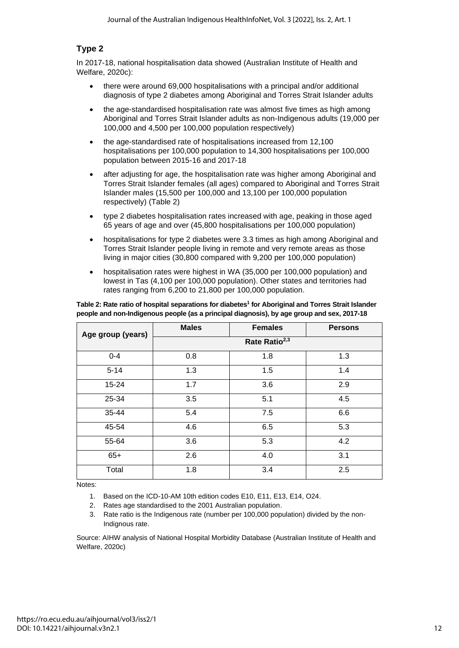# **Type 2**

In 2017-18, national hospitalisation data showed (Australian Institute of Health and Welfare, 2020c):

- there were around 69,000 hospitalisations with a principal and/or additional diagnosis of type 2 diabetes among Aboriginal and Torres Strait Islander adults
- the age-standardised hospitalisation rate was almost five times as high among Aboriginal and Torres Strait Islander adults as non-Indigenous adults (19,000 per 100,000 and 4,500 per 100,000 population respectively)
- the age-standardised rate of hospitalisations increased from 12,100 hospitalisations per 100,000 population to 14,300 hospitalisations per 100,000 population between 2015-16 and 2017-18
- after adjusting for age, the hospitalisation rate was higher among Aboriginal and Torres Strait Islander females (all ages) compared to Aboriginal and Torres Strait Islander males (15,500 per 100,000 and 13,100 per 100,000 population respectively) (Table 2)
- type 2 diabetes hospitalisation rates increased with age, peaking in those aged 65 years of age and over (45,800 hospitalisations per 100,000 population)
- hospitalisations for type 2 diabetes were 3.3 times as high among Aboriginal and Torres Strait Islander people living in remote and very remote areas as those living in major cities (30,800 compared with 9,200 per 100,000 population)
- hospitalisation rates were highest in WA (35,000 per 100,000 population) and lowest in Tas (4,100 per 100,000 population). Other states and territories had rates ranging from 6,200 to 21,800 per 100,000 population.

| Table 2: Rate ratio of hospital separations for diabetes <sup>1</sup> for Aboriginal and Torres Strait Islander |
|-----------------------------------------------------------------------------------------------------------------|
| people and non-Indigenous people (as a principal diagnosis), by age group and sex, 2017-18                      |

| Age group (years) | <b>Males</b> | <b>Females</b>            | <b>Persons</b> |
|-------------------|--------------|---------------------------|----------------|
|                   |              | Rate Ratio <sup>2,3</sup> |                |
| $0 - 4$           | 0.8          | 1.8                       | 1.3            |
| $5 - 14$          | 1.3          | 1.5                       | 1.4            |
| $15 - 24$         | 1.7          | 3.6                       | 2.9            |
| 25-34             | 3.5          | 5.1                       | 4.5            |
| 35-44             | 5.4          | 7.5                       | 6.6            |
| 45-54             | 4.6          | 6.5                       | 5.3            |
| 55-64             | 3.6          | 5.3                       | 4.2            |
| $65+$             | 2.6          | 4.0                       | 3.1            |
| Total             | 1.8          | 3.4                       | 2.5            |

Notes:

- 1. Based on the ICD-10-AM 10th edition codes E10, E11, E13, E14, O24.
- 2. Rates age standardised to the 2001 Australian population.
- 3. Rate ratio is the Indigenous rate (number per 100,000 population) divided by the non-Indignous rate.

Source: AIHW analysis of National Hospital Morbidity Database (Australian Institute of Health and Welfare, 2020c)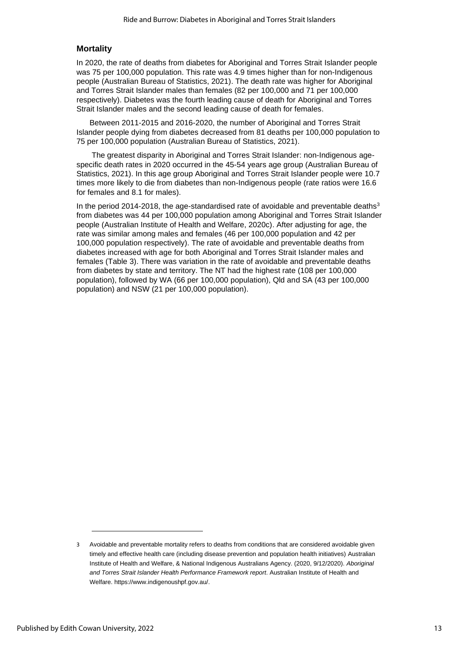### **Mortality**

In 2020, the rate of deaths from diabetes for Aboriginal and Torres Strait Islander people was 75 per 100,000 population. This rate was 4.9 times higher than for non-Indigenous people (Australian Bureau of Statistics, 2021). The death rate was higher for Aboriginal and Torres Strait Islander males than females (82 per 100,000 and 71 per 100,000 respectively). Diabetes was the fourth leading cause of death for Aboriginal and Torres Strait Islander males and the second leading cause of death for females.

Between 2011-2015 and 2016-2020, the number of Aboriginal and Torres Strait Islander people dying from diabetes decreased from 81 deaths per 100,000 population to 75 per 100,000 population (Australian Bureau of Statistics, 2021).

The greatest disparity in Aboriginal and Torres Strait Islander: non-Indigenous agespecific death rates in 2020 occurred in the 45-54 years age group (Australian Bureau of Statistics, 2021). In this age group Aboriginal and Torres Strait Islander people were 10.7 times more likely to die from diabetes than non-Indigenous people (rate ratios were 16.6 for females and 8.1 for males).

In the period 2014-2018, the age-standardised rate of avoidable and preventable deaths $3$ from diabetes was 44 per 100,000 population among Aboriginal and Torres Strait Islander people (Australian Institute of Health and Welfare, 2020c). After adjusting for age, the rate was similar among males and females (46 per 100,000 population and 42 per 100,000 population respectively). The rate of avoidable and preventable deaths from diabetes increased with age for both Aboriginal and Torres Strait Islander males and females (Table 3). There was variation in the rate of avoidable and preventable deaths from diabetes by state and territory. The NT had the highest rate (108 per 100,000 population), followed by WA (66 per 100,000 population), Qld and SA (43 per 100,000 population) and NSW (21 per 100,000 population).

<sup>3</sup> Avoidable and preventable mortality refers to deaths from conditions that are considered avoidable given timely and effective health care (including disease prevention and population health initiatives) Australian Institute of Health and Welfare, & National Indigenous Australians Agency. (2020, 9/12/2020). *Aboriginal and Torres Strait Islander Health Performance Framework report*. Australian Institute of Health and Welfare. https://www.indigenoushpf.gov.au/.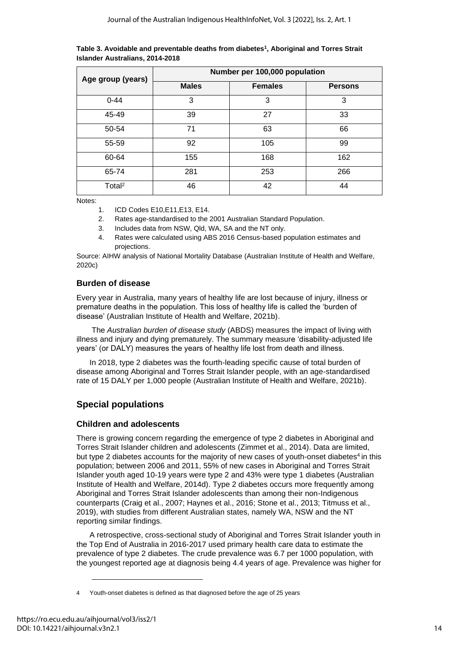| Age group (years)  | Number per 100,000 population |                |                |  |
|--------------------|-------------------------------|----------------|----------------|--|
|                    | <b>Males</b>                  | <b>Females</b> | <b>Persons</b> |  |
| $0 - 44$           | 3                             | 3              | 3              |  |
| 45-49              | 39                            | 27             | 33             |  |
| 50-54              | 71                            | 63             | 66             |  |
| 55-59              | 92                            | 105            | 99             |  |
| 60-64              | 155                           | 168            | 162            |  |
| 65-74              | 281                           | 253            | 266            |  |
| Total <sup>2</sup> | 46                            | 42             | 44             |  |

**Table 3. Avoidable and preventable deaths from diabetes<sup>1</sup> , Aboriginal and Torres Strait Islander Australians, 2014-2018**

Notes:

- 1. ICD Codes E10,E11,E13, E14.
- 2. Rates age-standardised to the 2001 Australian Standard Population.
- 3. Includes data from NSW, Qld, WA, SA and the NT only.
- 4. Rates were calculated using ABS 2016 Census-based population estimates and projections.

Source: AIHW analysis of National Mortality Database (Australian Institute of Health and Welfare, 2020c)

# **Burden of disease**

Every year in Australia, many years of healthy life are lost because of injury, illness or premature deaths in the population. This loss of healthy life is called the 'burden of disease' (Australian Institute of Health and Welfare, 2021b).

The *Australian burden of disease study* (ABDS) measures the impact of living with illness and injury and dying prematurely. The summary measure 'disability-adjusted life years' (or DALY) measures the years of healthy life lost from death and illness.

In 2018, type 2 diabetes was the fourth-leading specific cause of total burden of disease among Aboriginal and Torres Strait Islander people, with an age-standardised rate of 15 DALY per 1,000 people (Australian Institute of Health and Welfare, 2021b).

# **Special populations**

# **Children and adolescents**

There is growing concern regarding the emergence of type 2 diabetes in Aboriginal and Torres Strait Islander children and adolescents (Zimmet et al., 2014). Data are limited, but type 2 diabetes accounts for the majority of new cases of youth-onset diabetes<sup>4</sup> in this population; between 2006 and 2011, 55% of new cases in Aboriginal and Torres Strait Islander youth aged 10-19 years were type 2 and 43% were type 1 diabetes (Australian Institute of Health and Welfare, 2014d). Type 2 diabetes occurs more frequently among Aboriginal and Torres Strait Islander adolescents than among their non-Indigenous counterparts (Craig et al., 2007; Haynes et al., 2016; Stone et al., 2013; Titmuss et al., 2019), with studies from different Australian states, namely WA, NSW and the NT reporting similar findings.

A retrospective, cross-sectional study of Aboriginal and Torres Strait Islander youth in the Top End of Australia in 2016-2017 used primary health care data to estimate the prevalence of type 2 diabetes. The crude prevalence was 6.7 per 1000 population, with the youngest reported age at diagnosis being 4.4 years of age. Prevalence was higher for

<sup>4</sup> Youth-onset diabetes is defined as that diagnosed before the age of 25 years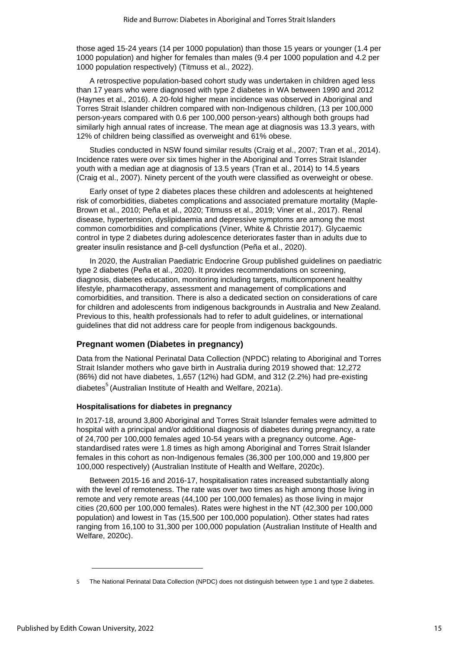those aged 15-24 years (14 per 1000 population) than those 15 years or younger (1.4 per 1000 population) and higher for females than males (9.4 per 1000 population and 4.2 per 1000 population respectively) (Titmuss et al., 2022).

A retrospective population-based cohort study was undertaken in children aged less than 17 years who were diagnosed with type 2 diabetes in WA between 1990 and 2012 (Haynes et al., 2016). A 20-fold higher mean incidence was observed in Aboriginal and Torres Strait Islander children compared with non-Indigenous children, (13 per 100,000 person-years compared with 0.6 per 100,000 person-years) although both groups had similarly high annual rates of increase. The mean age at diagnosis was 13.3 years, with 12% of children being classified as overweight and 61% obese.

Studies conducted in NSW found similar results (Craig et al., 2007; Tran et al., 2014). Incidence rates were over six times higher in the Aboriginal and Torres Strait Islander youth with a median age at diagnosis of 13.5 years (Tran et al., 2014) to 14.5 years (Craig et al., 2007). Ninety percent of the youth were classified as overweight or obese.

Early onset of type 2 diabetes places these children and adolescents at heightened risk of comorbidities, diabetes complications and associated premature mortality (Maple-Brown et al., 2010; Peña et al., 2020; Titmuss et al., 2019; Viner et al., 2017). Renal disease, hypertension, dyslipidaemia and depressive symptoms are among the most common comorbidities and complications (Viner, White & Christie 2017). Glycaemic control in type 2 diabetes during adolescence deteriorates faster than in adults due to greater insulin resistance and β-cell dysfunction (Peña et al., 2020).

In 2020, the Australian Paediatric Endocrine Group published guidelines on paediatric type 2 diabetes (Peña et al., 2020). It provides recommendations on screening, diagnosis, diabetes education, monitoring including targets, multicomponent healthy lifestyle, pharmacotherapy, assessment and management of complications and comorbidities, and transition. There is also a dedicated section on considerations of care for children and adolescents from indigenous backgrounds in Australia and New Zealand. Previous to this, health professionals had to refer to adult guidelines, or international guidelines that did not address care for people from indigenous backgounds.

# **Pregnant women (Diabetes in pregnancy)**

Data from the National Perinatal Data Collection (NPDC) relating to Aboriginal and Torres Strait Islander mothers who gave birth in Australia during 2019 showed that: 12,272 (86%) did not have diabetes, 1,657 (12%) had GDM, and 312 (2.2%) had pre-existing diabetes<sup>5</sup> (Australian Institute of Health and Welfare, 2021a).

# **Hospitalisations for diabetes in pregnancy**

In 2017-18, around 3,800 Aboriginal and Torres Strait Islander females were admitted to hospital with a principal and/or additional diagnosis of diabetes during pregnancy, a rate of 24,700 per 100,000 females aged 10-54 years with a pregnancy outcome. Agestandardised rates were 1.8 times as high among Aboriginal and Torres Strait Islander females in this cohort as non-Indigenous females (36,300 per 100,000 and 19,800 per 100,000 respectively) (Australian Institute of Health and Welfare, 2020c).

Between 2015-16 and 2016-17, hospitalisation rates increased substantially along with the level of remoteness. The rate was over two times as high among those living in remote and very remote areas (44,100 per 100,000 females) as those living in major cities (20,600 per 100,000 females). Rates were highest in the NT (42,300 per 100,000 population) and lowest in Tas (15,500 per 100,000 population). Other states had rates ranging from 16,100 to 31,300 per 100,000 population (Australian Institute of Health and Welfare, 2020c).

<sup>5</sup> The National Perinatal Data Collection (NPDC) does not distinguish between type 1 and type 2 diabetes.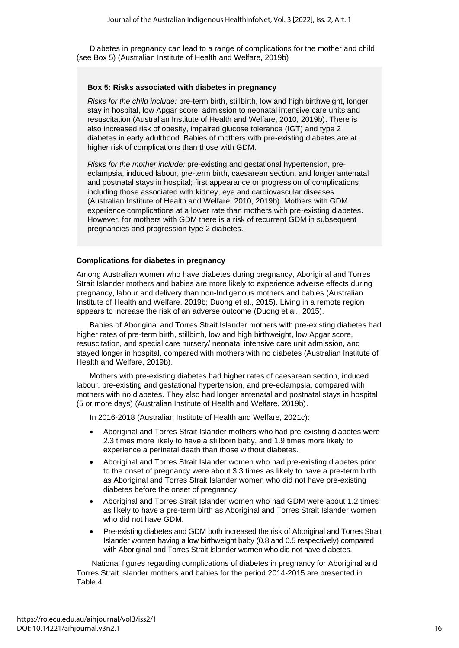Diabetes in pregnancy can lead to a range of complications for the mother and child (see Box 5) (Australian Institute of Health and Welfare, 2019b)

#### **Box 5: Risks associated with diabetes in pregnancy**

*Risks for the child include:* pre-term birth, stillbirth, low and high birthweight, longer stay in hospital, low Apgar score, admission to neonatal intensive care units and resuscitation (Australian Institute of Health and Welfare, 2010, 2019b). There is also increased risk of obesity, impaired glucose tolerance (IGT) and type 2 diabetes in early adulthood. Babies of mothers with pre-existing diabetes are at higher risk of complications than those with GDM.

*Risks for the mother include:* pre-existing and gestational hypertension, preeclampsia, induced labour, pre-term birth, caesarean section, and longer antenatal and postnatal stays in hospital; first appearance or progression of complications including those associated with kidney, eye and cardiovascular diseases. (Australian Institute of Health and Welfare, 2010, 2019b). Mothers with GDM experience complications at a lower rate than mothers with pre-existing diabetes. However, for mothers with GDM there is a risk of recurrent GDM in subsequent pregnancies and progression type 2 diabetes.

#### **Complications for diabetes in pregnancy**

Among Australian women who have diabetes during pregnancy, Aboriginal and Torres Strait Islander mothers and babies are more likely to experience adverse effects during pregnancy, labour and delivery than non-Indigenous mothers and babies (Australian Institute of Health and Welfare, 2019b; Duong et al., 2015). Living in a remote region appears to increase the risk of an adverse outcome (Duong et al., 2015).

Babies of Aboriginal and Torres Strait Islander mothers with pre-existing diabetes had higher rates of pre-term birth, stillbirth, low and high birthweight, low Apgar score, resuscitation, and special care nursery/ neonatal intensive care unit admission, and stayed longer in hospital, compared with mothers with no diabetes (Australian Institute of Health and Welfare, 2019b).

Mothers with pre-existing diabetes had higher rates of caesarean section, induced labour, pre-existing and gestational hypertension, and pre-eclampsia, compared with mothers with no diabetes. They also had longer antenatal and postnatal stays in hospital (5 or more days) (Australian Institute of Health and Welfare, 2019b).

In 2016-2018 (Australian Institute of Health and Welfare, 2021c):

- Aboriginal and Torres Strait Islander mothers who had pre-existing diabetes were 2.3 times more likely to have a stillborn baby, and 1.9 times more likely to experience a perinatal death than those without diabetes.
- Aboriginal and Torres Strait Islander women who had pre-existing diabetes prior to the onset of pregnancy were about 3.3 times as likely to have a pre-term birth as Aboriginal and Torres Strait Islander women who did not have pre-existing diabetes before the onset of pregnancy.
- Aboriginal and Torres Strait Islander women who had GDM were about 1.2 times as likely to have a pre-term birth as Aboriginal and Torres Strait Islander women who did not have GDM.
- Pre-existing diabetes and GDM both increased the risk of Aboriginal and Torres Strait Islander women having a low birthweight baby (0.8 and 0.5 respectively) compared with Aboriginal and Torres Strait Islander women who did not have diabetes.

National figures regarding complications of diabetes in pregnancy for Aboriginal and Torres Strait Islander mothers and babies for the period 2014-2015 are presented in Table 4.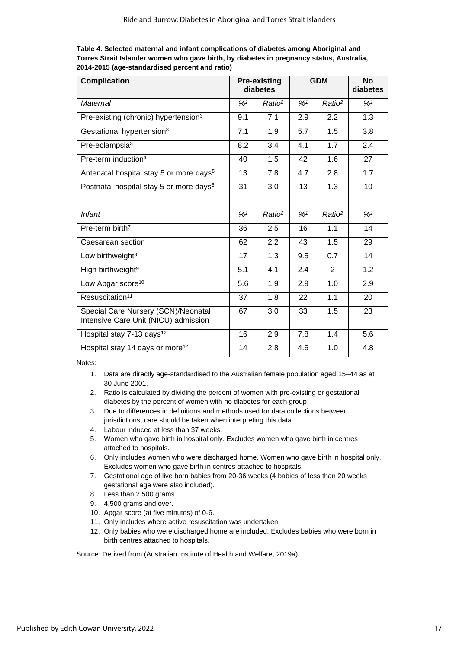**Table 4. Selected maternal and infant complications of diabetes among Aboriginal and Torres Strait Islander women who gave birth, by diabetes in pregnancy status, Australia, 2014-2015 (age-standardised percent and ratio)**

| <b>Complication</b>                                                         | <b>Pre-existing</b><br>diabetes |                    | <b>GDM</b>                 |                    | <b>No</b><br>diabetes |
|-----------------------------------------------------------------------------|---------------------------------|--------------------|----------------------------|--------------------|-----------------------|
| Maternal                                                                    | %1                              | Ratio <sup>2</sup> | $\frac{9}{6}$ <sup>1</sup> | Ratio <sup>2</sup> | %1                    |
| Pre-existing (chronic) hypertension <sup>3</sup>                            | 9.1                             | 7.1                | 2.9                        | 2.2                | 1.3                   |
| Gestational hypertension <sup>3</sup>                                       | 7.1                             | 1.9                | 5.7                        | 1.5                | 3.8                   |
| Pre-eclampsia <sup>3</sup>                                                  | 8.2                             | 3.4                | 4.1                        | 1.7                | 2.4                   |
| Pre-term induction <sup>4</sup>                                             | 40                              | 1.5                | 42                         | 1.6                | 27                    |
| Antenatal hospital stay 5 or more days <sup>5</sup>                         | 13                              | 7.8                | 4.7                        | 2.8                | $\overline{1.7}$      |
| Postnatal hospital stay 5 or more days <sup>6</sup>                         | 31                              | 3.0                | 13                         | 1.3                | 10                    |
|                                                                             |                                 |                    |                            |                    |                       |
| <b>Infant</b>                                                               | %1                              | Ratio <sup>2</sup> | $\frac{9}{6}$ <sup>1</sup> | Ratio <sup>2</sup> | %1                    |
| Pre-term birth <sup>7</sup>                                                 | 36                              | 2.5                | 16                         | 1.1                | 14                    |
| Caesarean section                                                           | 62                              | 2.2                | 43                         | 1.5                | 29                    |
| Low birthweight <sup>8</sup>                                                | 17                              | 1.3                | 9.5                        | 0.7                | 14                    |
| High birthweight <sup>9</sup>                                               | 5.1                             | 4.1                | 2.4                        | 2                  | 1.2                   |
| Low Apgar score <sup>10</sup>                                               | 5.6                             | 1.9                | 2.9                        | 1.0                | 2.9                   |
| Resuscitation <sup>11</sup>                                                 | 37                              | 1.8                | 22                         | 1.1                | 20                    |
| Special Care Nursery (SCN)/Neonatal<br>Intensive Care Unit (NICU) admission | 67                              | 3.0                | 33                         | 1.5                | 23                    |
| Hospital stay 7-13 days <sup>12</sup>                                       | 16                              | 2.9                | 7.8                        | 1.4                | 5.6                   |
| Hospital stay 14 days or more <sup>12</sup>                                 | 14                              | 2.8                | 4.6                        | 1.0                | 4.8                   |

Notes:

- 1. Data are directly age-standardised to the Australian female population aged 15–44 as at 30 June 2001.
- 2. Ratio is calculated by dividing the percent of women with pre-existing or gestational diabetes by the percent of women with no diabetes for each group.
- 3. Due to differences in definitions and methods used for data collections between jurisdictions, care should be taken when interpreting this data.
- 4. Labour induced at less than 37 weeks.
- 5. Women who gave birth in hospital only. Excludes women who gave birth in centres attached to hospitals.
- 6. Only includes women who were discharged home. Women who gave birth in hospital only. Excludes women who gave birth in centres attached to hospitals.
- 7. Gestational age of live born babies from 20-36 weeks (4 babies of less than 20 weeks gestational age were also included).
- 8. Less than 2,500 grams.
- 9. 4,500 grams and over.
- 10. Apgar score (at five minutes) of 0-6.
- 11. Only includes where active resuscitation was undertaken.
- 12. Only babies who were discharged home are included. Excludes babies who were born in birth centres attached to hospitals.

Source: Derived from (Australian Institute of Health and Welfare, 2019a)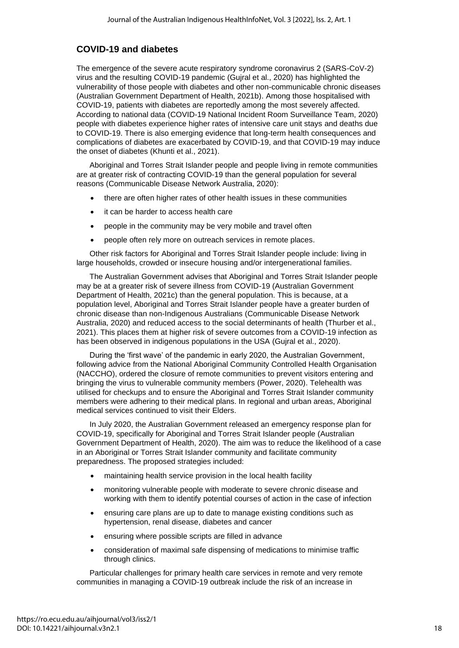# **COVID-19 and diabetes**

The emergence of the severe acute respiratory syndrome coronavirus 2 (SARS-CoV-2) virus and the resulting COVID-19 pandemic (Gujral et al., 2020) has highlighted the vulnerability of those people with diabetes and other non-communicable chronic diseases (Australian Government Department of Health, 2021b). Among those hospitalised with COVID-19, patients with diabetes are reportedly among the most severely affected. According to national data (COVID-19 National Incident Room Surveillance Team, 2020) people with diabetes experience higher rates of intensive care unit stays and deaths due to COVID-19. There is also emerging evidence that long-term health consequences and complications of diabetes are exacerbated by COVID-19, and that COVID-19 may induce the onset of diabetes (Khunti et al., 2021).

Aboriginal and Torres Strait Islander people and people living in remote communities are at greater risk of contracting COVID-19 than the general population for several reasons (Communicable Disease Network Australia, 2020):

- there are often higher rates of other health issues in these communities
- it can be harder to access health care
- people in the community may be very mobile and travel often
- people often rely more on outreach services in remote places.

Other risk factors for Aboriginal and Torres Strait Islander people include: living in large households, crowded or insecure housing and/or intergenerational families.

The Australian Government advises that Aboriginal and Torres Strait Islander people may be at a greater risk of severe illness from COVID-19 (Australian Government Department of Health, 2021c) than the general population. This is because, at a population level, Aboriginal and Torres Strait Islander people have a greater burden of chronic disease than non-Indigenous Australians (Communicable Disease Network Australia, 2020) and reduced access to the social determinants of health (Thurber et al., 2021). This places them at higher risk of severe outcomes from a COVID-19 infection as has been observed in indigenous populations in the USA (Guiral et al., 2020).

During the 'first wave' of the pandemic in early 2020, the Australian Government, following advice from the National Aboriginal Community Controlled Health Organisation (NACCHO), ordered the closure of remote communities to prevent visitors entering and bringing the virus to vulnerable community members (Power, 2020). Telehealth was utilised for checkups and to ensure the Aboriginal and Torres Strait Islander community members were adhering to their medical plans. In regional and urban areas, Aboriginal medical services continued to visit their Elders.

In July 2020, the Australian Government released an emergency response plan for COVID-19, specifically for Aboriginal and Torres Strait Islander people (Australian Government Department of Health, 2020). The aim was to reduce the likelihood of a case in an Aboriginal or Torres Strait Islander community and facilitate community preparedness. The proposed strategies included:

- maintaining health service provision in the local health facility
- monitoring vulnerable people with moderate to severe chronic disease and working with them to identify potential courses of action in the case of infection
- ensuring care plans are up to date to manage existing conditions such as hypertension, renal disease, diabetes and cancer
- ensuring where possible scripts are filled in advance
- consideration of maximal safe dispensing of medications to minimise traffic through clinics.

Particular challenges for primary health care services in remote and very remote communities in managing a COVID-19 outbreak include the risk of an increase in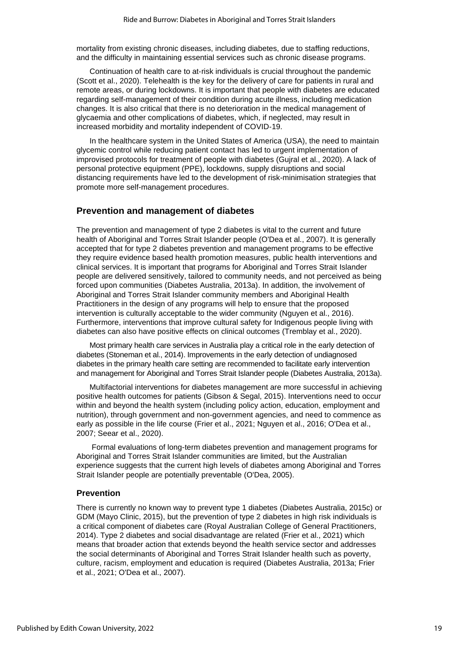mortality from existing chronic diseases, including diabetes, due to staffing reductions, and the difficulty in maintaining essential services such as chronic disease programs.

Continuation of health care to at‐risk individuals is crucial throughout the pandemic (Scott et al., 2020). Telehealth is the key for the delivery of care for patients in rural and remote areas, or during lockdowns. It is important that people with diabetes are educated regarding self-management of their condition during acute illness, including medication changes. It is also critical that there is no deterioration in the medical management of glycaemia and other complications of diabetes, which, if neglected, may result in increased morbidity and mortality independent of COVID‐19.

In the healthcare system in the United States of America (USA), the need to maintain glycemic control while reducing patient contact has led to urgent implementation of improvised protocols for treatment of people with diabetes (Gujral et al., 2020). A lack of personal protective equipment (PPE), lockdowns, supply disruptions and social distancing requirements have led to the development of risk-minimisation strategies that promote more self-management procedures.

### **Prevention and management of diabetes**

The prevention and management of type 2 diabetes is vital to the current and future health of Aboriginal and Torres Strait Islander people (O'Dea et al., 2007). It is generally accepted that for type 2 diabetes prevention and management programs to be effective they require evidence based health promotion measures, public health interventions and clinical services. It is important that programs for Aboriginal and Torres Strait Islander people are delivered sensitively, tailored to community needs, and not perceived as being forced upon communities (Diabetes Australia, 2013a). In addition, the involvement of Aboriginal and Torres Strait Islander community members and Aboriginal Health Practitioners in the design of any programs will help to ensure that the proposed intervention is culturally acceptable to the wider community (Nguyen et al., 2016). Furthermore, interventions that improve cultural safety for Indigenous people living with diabetes can also have positive effects on clinical outcomes (Tremblay et al., 2020).

Most primary health care services in Australia play a critical role in the early detection of diabetes (Stoneman et al., 2014). Improvements in the early detection of undiagnosed diabetes in the primary health care setting are recommended to facilitate early intervention and management for Aboriginal and Torres Strait Islander people (Diabetes Australia, 2013a).

Multifactorial interventions for diabetes management are more successful in achieving positive health outcomes for patients (Gibson & Segal, 2015). Interventions need to occur within and beyond the health system (including policy action, education, employment and nutrition), through government and non-government agencies, and need to commence as early as possible in the life course (Frier et al., 2021; Nguyen et al., 2016; O'Dea et al., 2007; Seear et al., 2020).

Formal evaluations of long-term diabetes prevention and management programs for Aboriginal and Torres Strait Islander communities are limited, but the Australian experience suggests that the current high levels of diabetes among Aboriginal and Torres Strait Islander people are potentially preventable (O'Dea, 2005).

#### **Prevention**

There is currently no known way to prevent type 1 diabetes (Diabetes Australia, 2015c) or GDM (Mayo Clinic, 2015), but the prevention of type 2 diabetes in high risk individuals is a critical component of diabetes care (Royal Australian College of General Practitioners, 2014). Type 2 diabetes and social disadvantage are related (Frier et al., 2021) which means that broader action that extends beyond the health service sector and addresses the social determinants of Aboriginal and Torres Strait Islander health such as poverty, culture, racism, employment and education is required (Diabetes Australia, 2013a; Frier et al., 2021; O'Dea et al., 2007).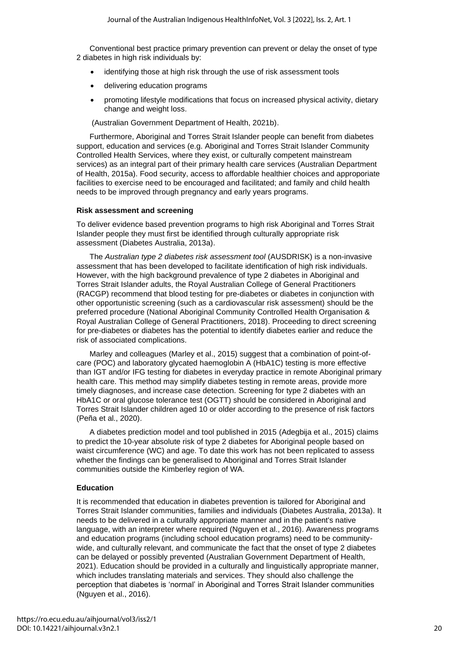Conventional best practice primary prevention can prevent or delay the onset of type 2 diabetes in high risk individuals by:

- identifying those at high risk through the use of risk assessment tools
- delivering education programs
- promoting lifestyle modifications that focus on increased physical activity, dietary change and weight loss.

(Australian Government Department of Health, 2021b).

Furthermore, Aboriginal and Torres Strait Islander people can benefit from diabetes support, education and services (e.g. Aboriginal and Torres Strait Islander Community Controlled Health Services, where they exist, or culturally competent mainstream services) as an integral part of their primary health care services (Australian Department of Health, 2015a). Food security, access to affordable healthier choices and approporiate facilities to exercise need to be encouraged and facilitated; and family and child health needs to be improved through pregnancy and early years programs.

### **Risk assessment and screening**

To deliver evidence based prevention programs to high risk Aboriginal and Torres Strait Islander people they must first be identified through culturally appropriate risk assessment (Diabetes Australia, 2013a).

The *Australian type 2 diabetes risk assessment tool* (AUSDRISK) is a non-invasive assessment that has been developed to facilitate identification of high risk individuals. However, with the high background prevalence of type 2 diabetes in Aboriginal and Torres Strait Islander adults, the Royal Australian College of General Practitioners (RACGP) recommend that blood testing for pre-diabetes or diabetes in conjunction with other opportunistic screening (such as a cardiovascular risk assessment) should be the preferred procedure (National Aboriginal Community Controlled Health Organisation & Royal Australian College of General Practitioners, 2018). Proceeding to direct screening for pre-diabetes or diabetes has the potential to identify diabetes earlier and reduce the risk of associated complications.

Marley and colleagues (Marley et al., 2015) suggest that a combination of point-ofcare (POC) and laboratory glycated haemoglobin A (HbA1C) testing is more effective than IGT and/or IFG testing for diabetes in everyday practice in remote Aboriginal primary health care. This method may simplify diabetes testing in remote areas, provide more timely diagnoses, and increase case detection. Screening for type 2 diabetes with an HbA1C or oral glucose tolerance test (OGTT) should be considered in Aboriginal and Torres Strait Islander children aged 10 or older according to the presence of risk factors (Peña et al., 2020).

A diabetes prediction model and tool published in 2015 (Adegbija et al., 2015) claims to predict the 10-year absolute risk of type 2 diabetes for Aboriginal people based on waist circumference (WC) and age. To date this work has not been replicated to assess whether the findings can be generalised to Aboriginal and Torres Strait Islander communities outside the Kimberley region of WA.

# **Education**

It is recommended that education in diabetes prevention is tailored for Aboriginal and Torres Strait Islander communities, families and individuals (Diabetes Australia, 2013a). It needs to be delivered in a culturally appropriate manner and in the patient's native language, with an interpreter where required (Nguyen et al., 2016). Awareness programs and education programs (including school education programs) need to be communitywide, and culturally relevant, and communicate the fact that the onset of type 2 diabetes can be delayed or possibly prevented (Australian Government Department of Health, 2021). Education should be provided in a culturally and linguistically appropriate manner, which includes translating materials and services. They should also challenge the perception that diabetes is 'normal' in Aboriginal and Torres Strait Islander communities (Nguyen et al., 2016).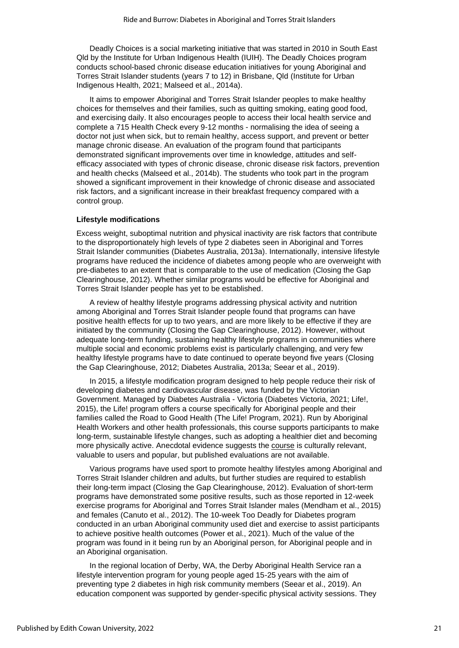Deadly Choices is a social marketing initiative that was started in 2010 in South East Qld by the Institute for Urban Indigenous Health (IUIH). The Deadly Choices program conducts school-based chronic disease education initiatives for young Aboriginal and Torres Strait Islander students (years 7 to 12) in Brisbane, Qld (Institute for Urban Indigenous Health, 2021; Malseed et al., 2014a).

It aims to empower Aboriginal and Torres Strait Islander peoples to make healthy choices for themselves and their families, such as quitting smoking, eating good food, and exercising daily. It also encourages people to access their local health service and complete a 715 Health Check every 9-12 months - normalising the idea of seeing a doctor not just when sick, but to remain healthy, access support, and prevent or better manage chronic disease. An evaluation of the program found that participants demonstrated significant improvements over time in knowledge, attitudes and selfefficacy associated with types of chronic disease, chronic disease risk factors, prevention and health checks (Malseed et al., 2014b). The students who took part in the program showed a significant improvement in their knowledge of chronic disease and associated risk factors, and a significant increase in their breakfast frequency compared with a control group.

#### **Lifestyle modifications**

Excess weight, suboptimal nutrition and physical inactivity are risk factors that contribute to the disproportionately high levels of type 2 diabetes seen in Aboriginal and Torres Strait Islander communities (Diabetes Australia, 2013a). Internationally, intensive lifestyle programs have reduced the incidence of diabetes among people who are overweight with pre-diabetes to an extent that is comparable to the use of medication (Closing the Gap Clearinghouse, 2012). Whether similar programs would be effective for Aboriginal and Torres Strait Islander people has yet to be established.

A review of healthy lifestyle programs addressing physical activity and nutrition among Aboriginal and Torres Strait Islander people found that programs can have positive health effects for up to two years, and are more likely to be effective if they are initiated by the community (Closing the Gap Clearinghouse, 2012). However, without adequate long-term funding, sustaining healthy lifestyle programs in communities where multiple social and economic problems exist is particularly challenging, and very few healthy lifestyle programs have to date continued to operate beyond five years (Closing the Gap Clearinghouse, 2012; Diabetes Australia, 2013a; Seear et al., 2019).

In 2015, a lifestyle modification program designed to help people reduce their risk of developing diabetes and cardiovascular disease, was funded by the Victorian Government. Managed by Diabetes Australia - Victoria (Diabetes Victoria, 2021; Life!, 2015), the Life! program offers a course specifically for Aboriginal people and their families called the Road to Good Health (The Life! Program, 2021). Run by Aboriginal Health Workers and other health professionals, this course supports participants to make long-term, sustainable lifestyle changes, such as adopting a healthier diet and becoming more physically active. Anecdotal evidence suggests the [course](https://lifeprogram.org.au/learn-about-life/for-aboriginal-communities/) is culturally relevant, valuable to users and popular, but published evaluations are not available.

Various programs have used sport to promote healthy lifestyles among Aboriginal and Torres Strait Islander children and adults, but further studies are required to establish their long-term impact (Closing the Gap Clearinghouse, 2012). Evaluation of short-term programs have demonstrated some positive results, such as those reported in 12-week exercise programs for Aboriginal and Torres Strait Islander males (Mendham et al., 2015) and females (Canuto et al., 2012). The 10-week Too Deadly for Diabetes program conducted in an urban Aboriginal community used diet and exercise to assist participants to achieve positive health outcomes (Power et al., 2021). Much of the value of the program was found in it being run by an Aboriginal person, for Aboriginal people and in an Aboriginal organisation.

In the regional location of Derby, WA, the Derby Aboriginal Health Service ran a lifestyle intervention program for young people aged 15-25 years with the aim of preventing type 2 diabetes in high risk community members (Seear et al., 2019). An education component was supported by gender-specific physical activity sessions. They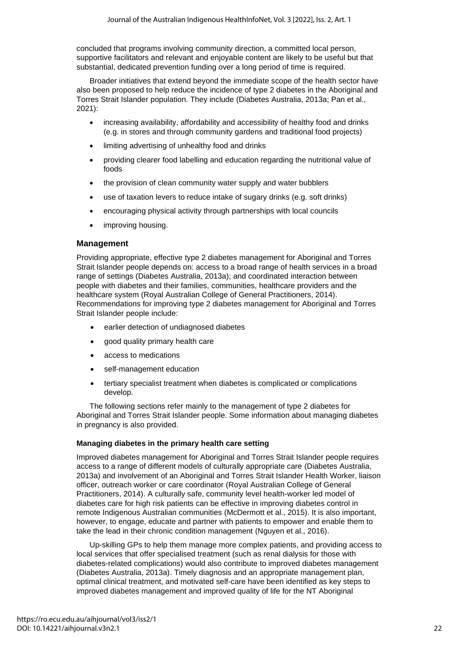concluded that programs involving community direction, a committed local person, supportive facilitators and relevant and enjoyable content are likely to be useful but that substantial, dedicated prevention funding over a long period of time is required.

Broader initiatives that extend beyond the immediate scope of the health sector have also been proposed to help reduce the incidence of type 2 diabetes in the Aboriginal and Torres Strait Islander population. They include (Diabetes Australia, 2013a; Pan et al., 2021):

- increasing availability, affordability and accessibility of healthy food and drinks (e.g. in stores and through community gardens and traditional food projects)
- limiting advertising of unhealthy food and drinks
- providing clearer food labelling and education regarding the nutritional value of foods
- the provision of clean community water supply and water bubblers
- use of taxation levers to reduce intake of sugary drinks (e.g. soft drinks)
- encouraging physical activity through partnerships with local councils
- improving housing.

### **Management**

Providing appropriate, effective type 2 diabetes management for Aboriginal and Torres Strait Islander people depends on: access to a broad range of health services in a broad range of settings (Diabetes Australia, 2013a); and coordinated interaction between people with diabetes and their families, communities, healthcare providers and the healthcare system (Royal Australian College of General Practitioners, 2014). Recommendations for improving type 2 diabetes management for Aboriginal and Torres Strait Islander people include:

- earlier detection of undiagnosed diabetes
- good quality primary health care
- access to medications
- self-management education
- tertiary specialist treatment when diabetes is complicated or complications develop.

The following sections refer mainly to the management of type 2 diabetes for Aboriginal and Torres Strait Islander people. Some information about managing diabetes in pregnancy is also provided.

# **Managing diabetes in the primary health care setting**

Improved diabetes management for Aboriginal and Torres Strait Islander people requires access to a range of different models of culturally appropriate care (Diabetes Australia, 2013a) and involvement of an Aboriginal and Torres Strait Islander Health Worker, liaison officer, outreach worker or care coordinator (Royal Australian College of General Practitioners, 2014). A culturally safe, community level health-worker led model of diabetes care for high risk patients can be effective in improving diabetes control in remote Indigenous Australian communities (McDermott et al., 2015). It is also important, however, to engage, educate and partner with patients to empower and enable them to take the lead in their chronic condition management (Nguyen et al., 2016).

Up-skilling GPs to help them manage more complex patients, and providing access to local services that offer specialised treatment (such as renal dialysis for those with diabetes-related complications) would also contribute to improved diabetes management (Diabetes Australia, 2013a). Timely diagnosis and an appropriate management plan, optimal clinical treatment, and motivated self-care have been identified as key steps to improved diabetes management and improved quality of life for the NT Aboriginal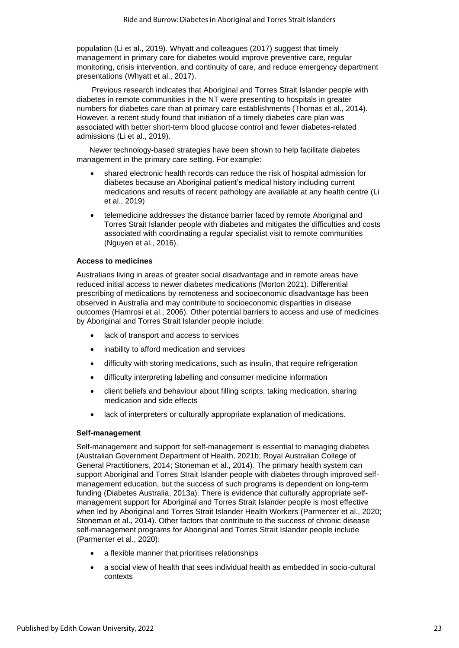population (Li et al., 2019). Whyatt and colleagues (2017) suggest that timely management in primary care for diabetes would improve preventive care, regular monitoring, crisis intervention, and continuity of care, and reduce emergency department presentations (Whyatt et al., 2017).

Previous research indicates that Aboriginal and Torres Strait Islander people with diabetes in remote communities in the NT were presenting to hospitals in greater numbers for diabetes care than at primary care establishments (Thomas et al., 2014). However, a recent study found that initiation of a timely diabetes care plan was associated with better short-term blood glucose control and fewer diabetes-related admissions (Li et al., 2019).

Newer technology-based strategies have been shown to help facilitate diabetes management in the primary care setting. For example:

- shared electronic health records can reduce the risk of hospital admission for diabetes because an Aboriginal patient's medical history including current medications and results of recent pathology are available at any health centre (Li et al., 2019)
- telemedicine addresses the distance barrier faced by remote Aboriginal and Torres Strait Islander people with diabetes and mitigates the difficulties and costs associated with coordinating a regular specialist visit to remote communities (Nguyen et al., 2016).

### **Access to medicines**

Australians living in areas of greater social disadvantage and in remote areas have reduced initial access to newer diabetes medications (Morton 2021). Differential prescribing of medications by remoteness and socioeconomic disadvantage has been observed in Australia and may contribute to socioeconomic disparities in disease outcomes (Hamrosi et al., 2006). Other potential barriers to access and use of medicines by Aboriginal and Torres Strait Islander people include:

- lack of transport and access to services
- inability to afford medication and services
- difficulty with storing medications, such as insulin, that require refrigeration
- difficulty interpreting labelling and consumer medicine information
- client beliefs and behaviour about filling scripts, taking medication, sharing medication and side effects
- lack of interpreters or culturally appropriate explanation of medications.

#### **Self-management**

Self-management and support for self-management is essential to managing diabetes (Australian Government Department of Health, 2021b; Royal Australian College of General Practitioners, 2014; Stoneman et al., 2014). The primary health system can support Aboriginal and Torres Strait Islander people with diabetes through improved selfmanagement education, but the success of such programs is dependent on long-term funding (Diabetes Australia, 2013a). There is evidence that culturally appropriate selfmanagement support for Aboriginal and Torres Strait Islander people is most effective when led by Aboriginal and Torres Strait Islander Health Workers (Parmenter et al., 2020; Stoneman et al., 2014). Other factors that contribute to the success of chronic disease self-management programs for Aboriginal and Torres Strait Islander people include (Parmenter et al., 2020):

- a flexible manner that prioritises relationships
- a social view of health that sees individual health as embedded in socio-cultural contexts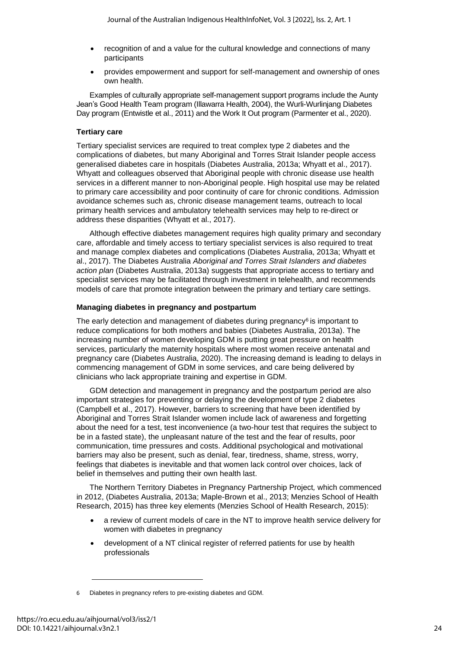- recognition of and a value for the cultural knowledge and connections of many participants
- provides empowerment and support for self-management and ownership of ones own health.

Examples of culturally appropriate self-management support programs include the Aunty Jean's Good Health Team program (Illawarra Health, 2004), the Wurli-Wurlinjang Diabetes Day program (Entwistle et al., 2011) and the Work It Out program (Parmenter et al., 2020).

# **Tertiary care**

Tertiary specialist services are required to treat complex type 2 diabetes and the complications of diabetes, but many Aboriginal and Torres Strait Islander people access generalised diabetes care in hospitals (Diabetes Australia, 2013a; Whyatt et al., 2017). Whyatt and colleagues observed that Aboriginal people with chronic disease use health services in a different manner to non-Aboriginal people. High hospital use may be related to primary care accessibility and poor continuity of care for chronic conditions. Admission avoidance schemes such as, chronic disease management teams, outreach to local primary health services and ambulatory telehealth services may help to re-direct or address these disparities (Whyatt et al., 2017).

Although effective diabetes management requires high quality primary and secondary care, affordable and timely access to tertiary specialist services is also required to treat and manage complex diabetes and complications (Diabetes Australia, 2013a; Whyatt et al., 2017). The Diabetes Australia *Aboriginal and Torres Strait Islanders and diabetes action plan* (Diabetes Australia, 2013a) suggests that appropriate access to tertiary and specialist services may be facilitated through investment in telehealth, and recommends models of care that promote integration between the primary and tertiary care settings.

# **Managing diabetes in pregnancy and postpartum**

The early detection and management of diabetes during pregnancy $6$  is important to reduce complications for both mothers and babies (Diabetes Australia, 2013a). The increasing number of women developing GDM is putting great pressure on health services, particularly the maternity hospitals where most women receive antenatal and pregnancy care (Diabetes Australia, 2020). The increasing demand is leading to delays in commencing management of GDM in some services, and care being delivered by clinicians who lack appropriate training and expertise in GDM.

GDM detection and management in pregnancy and the postpartum period are also important strategies for preventing or delaying the development of type 2 diabetes (Campbell et al., 2017). However, barriers to screening that have been identified by Aboriginal and Torres Strait Islander women include lack of awareness and forgetting about the need for a test, test inconvenience (a two-hour test that requires the subject to be in a fasted state), the unpleasant nature of the test and the fear of results, poor communication, time pressures and costs. Additional psychological and motivational barriers may also be present, such as denial, fear, tiredness, shame, stress, worry, feelings that diabetes is inevitable and that women lack control over choices, lack of belief in themselves and putting their own health last.

The Northern Territory Diabetes in Pregnancy Partnership Project*,* which commenced in 2012, (Diabetes Australia, 2013a; Maple-Brown et al., 2013; Menzies School of Health Research, 2015) has three key elements (Menzies School of Health Research, 2015):

- a review of current models of care in the NT to improve health service delivery for women with diabetes in pregnancy
- development of a NT clinical register of referred patients for use by health professionals

<sup>6</sup> Diabetes in pregnancy refers to pre-existing diabetes and GDM.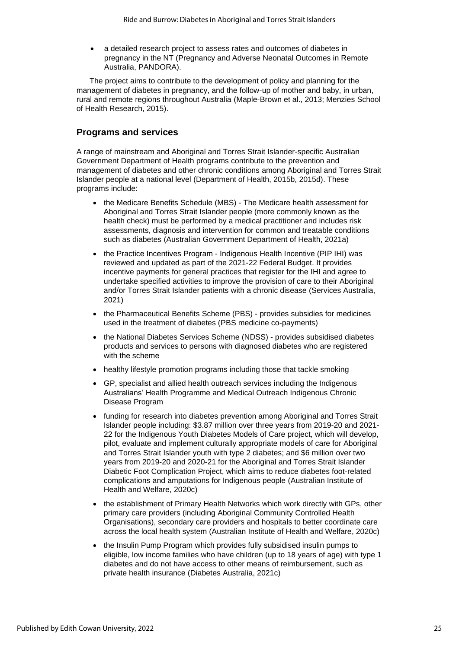• a detailed research project to assess rates and outcomes of diabetes in pregnancy in the NT (Pregnancy and Adverse Neonatal Outcomes in Remote Australia, PANDORA).

The project aims to contribute to the development of policy and planning for the management of diabetes in pregnancy, and the follow-up of mother and baby, in urban, rural and remote regions throughout Australia (Maple-Brown et al., 2013; Menzies School of Health Research, 2015).

# **Programs and services**

A range of mainstream and Aboriginal and Torres Strait Islander-specific Australian Government Department of Health programs contribute to the prevention and management of diabetes and other chronic conditions among Aboriginal and Torres Strait Islander people at a national level (Department of Health, 2015b, 2015d). These programs include:

- the Medicare Benefits Schedule (MBS) The Medicare health assessment for Aboriginal and Torres Strait Islander people (more commonly known as the health check) must be performed by a medical practitioner and includes risk assessments, diagnosis and intervention for common and treatable conditions such as diabetes (Australian Government Department of Health, 2021a)
- the Practice Incentives Program Indigenous Health Incentive (PIP IHI) was reviewed and updated as part of the 2021-22 Federal Budget. It provides incentive payments for general practices that register for the IHI and agree to undertake specified activities to improve the provision of care to their Aboriginal and/or Torres Strait Islander patients with a chronic disease (Services Australia, 2021)
- the Pharmaceutical Benefits Scheme (PBS) provides subsidies for medicines used in the treatment of diabetes (PBS medicine co-payments)
- the National Diabetes Services Scheme (NDSS) provides subsidised diabetes products and services to persons with diagnosed diabetes who are registered with the scheme
- healthy lifestyle promotion programs including those that tackle smoking
- GP, specialist and allied health outreach services including the Indigenous Australians' Health Programme and Medical Outreach Indigenous Chronic Disease Program
- funding for research into diabetes prevention among Aboriginal and Torres Strait Islander people including: \$3.87 million over three years from 2019-20 and 2021- 22 for the Indigenous Youth Diabetes Models of Care project, which will develop, pilot, evaluate and implement culturally appropriate models of care for Aboriginal and Torres Strait Islander youth with type 2 diabetes; and \$6 million over two years from 2019-20 and 2020-21 for the Aboriginal and Torres Strait Islander Diabetic Foot Complication Project, which aims to reduce diabetes foot-related complications and amputations for Indigenous people (Australian Institute of Health and Welfare, 2020c)
- the establishment of Primary Health Networks which work directly with GPs, other primary care providers (including Aboriginal Community Controlled Health Organisations), secondary care providers and hospitals to better coordinate care across the local health system (Australian Institute of Health and Welfare, 2020c)
- the Insulin Pump Program which provides fully subsidised insulin pumps to eligible, low income families who have children (up to 18 years of age) with type 1 diabetes and do not have access to other means of reimbursement, such as private health insurance (Diabetes Australia, 2021c)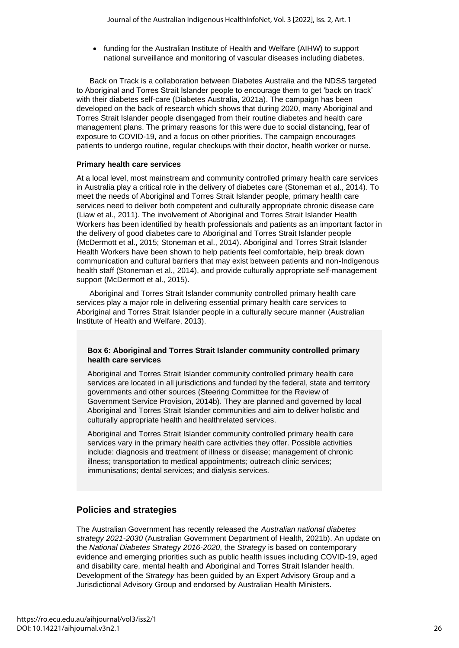• funding for the Australian Institute of Health and Welfare (AIHW) to support national surveillance and monitoring of vascular diseases including diabetes.

Back on Track is a collaboration between Diabetes Australia and the NDSS targeted to Aboriginal and Torres Strait Islander people to encourage them to get 'back on track' with their diabetes self-care (Diabetes Australia, 2021a). The campaign has been developed on the back of research which shows that during 2020, many Aboriginal and Torres Strait Islander people disengaged from their routine diabetes and health care management plans. The primary reasons for this were due to social distancing, fear of exposure to COVID-19, and a focus on other priorities. The campaign encourages patients to undergo routine, regular checkups with their doctor, health worker or nurse.

# **Primary health care services**

At a local level, most mainstream and community controlled primary health care services in Australia play a critical role in the delivery of diabetes care (Stoneman et al., 2014). To meet the needs of Aboriginal and Torres Strait Islander people, primary health care services need to deliver both competent and culturally appropriate chronic disease care (Liaw et al., 2011). The involvement of Aboriginal and Torres Strait Islander Health Workers has been identified by health professionals and patients as an important factor in the delivery of good diabetes care to Aboriginal and Torres Strait Islander people (McDermott et al., 2015; Stoneman et al., 2014). Aboriginal and Torres Strait Islander Health Workers have been shown to help patients feel comfortable, help break down communication and cultural barriers that may exist between patients and non-Indigenous health staff (Stoneman et al., 2014), and provide culturally appropriate self-management support (McDermott et al., 2015).

Aboriginal and Torres Strait Islander community controlled primary health care services play a major role in delivering essential primary health care services to Aboriginal and Torres Strait Islander people in a culturally secure manner (Australian Institute of Health and Welfare, 2013).

# **Box 6: Aboriginal and Torres Strait Islander community controlled primary health care services**

Aboriginal and Torres Strait Islander community controlled primary health care services are located in all jurisdictions and funded by the federal, state and territory governments and other sources (Steering Committee for the Review of Government Service Provision, 2014b). They are planned and governed by local Aboriginal and Torres Strait Islander communities and aim to deliver holistic and culturally appropriate health and healthrelated services.

Aboriginal and Torres Strait Islander community controlled primary health care services vary in the primary health care activities they offer. Possible activities include: diagnosis and treatment of illness or disease; management of chronic illness; transportation to medical appointments; outreach clinic services; immunisations; dental services; and dialysis services.

# **Policies and strategies**

The Australian Government has recently released the *Australian national diabetes strategy 2021-2030* (Australian Government Department of Health, 2021b). An update on the *National Diabetes Strategy 2016-2020*, the *Strategy* is based on contemporary evidence and emerging priorities such as public health issues including COVID-19, aged and disability care, mental health and Aboriginal and Torres Strait Islander health. Development of the *Strategy* has been guided by an Expert Advisory Group and a Jurisdictional Advisory Group and endorsed by Australian Health Ministers.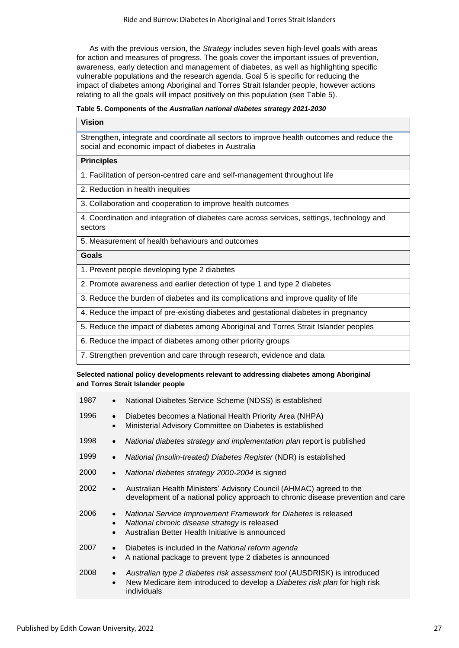As with the previous version, the *Strategy* includes seven high-level goals with areas for action and measures of progress. The goals cover the important issues of prevention, awareness, early detection and management of diabetes, as well as highlighting specific vulnerable populations and the research agenda. Goal 5 is specific for reducing the impact of diabetes among Aboriginal and Torres Strait Islander people, however actions relating to all the goals will impact positively on this population (see Table 5).

#### **Table 5. Components of the** *Australian national diabetes strategy 2021-2030*

#### **Vision**

Strengthen, integrate and coordinate all sectors to improve health outcomes and reduce the social and economic impact of diabetes in Australia

# **Principles**

1. Facilitation of person-centred care and self-management throughout life

2. Reduction in health inequities

3. Collaboration and cooperation to improve health outcomes

4. Coordination and integration of diabetes care across services, settings, technology and sectors

5. Measurement of health behaviours and outcomes

#### **Goals**

1. Prevent people developing type 2 diabetes

2. Promote awareness and earlier detection of type 1 and type 2 diabetes

3. Reduce the burden of diabetes and its complications and improve quality of life

4. Reduce the impact of pre-existing diabetes and gestational diabetes in pregnancy

5. Reduce the impact of diabetes among Aboriginal and Torres Strait Islander peoples

6. Reduce the impact of diabetes among other priority groups

7. Strengthen prevention and care through research, evidence and data

#### **Selected national policy developments relevant to addressing diabetes among Aboriginal and Torres Strait Islander people**

| 1987 | $\bullet$                           | National Diabetes Service Scheme (NDSS) is established                                                                                                                |
|------|-------------------------------------|-----------------------------------------------------------------------------------------------------------------------------------------------------------------------|
| 1996 | $\bullet$<br>$\bullet$              | Diabetes becomes a National Health Priority Area (NHPA)<br>Ministerial Advisory Committee on Diabetes is established                                                  |
| 1998 | $\bullet$                           | National diabetes strategy and implementation plan report is published                                                                                                |
| 1999 | $\bullet$                           | National (insulin-treated) Diabetes Register (NDR) is established                                                                                                     |
| 2000 | $\bullet$                           | National diabetes strategy 2000-2004 is signed                                                                                                                        |
| 2002 | $\bullet$                           | Australian Health Ministers' Advisory Council (AHMAC) agreed to the<br>development of a national policy approach to chronic disease prevention and care               |
| 2006 | $\bullet$<br>$\bullet$<br>$\bullet$ | National Service Improvement Framework for Diabetes is released<br>National chronic disease strategy is released<br>Australian Better Health Initiative is announced  |
| 2007 | $\bullet$<br>$\bullet$              | Diabetes is included in the National reform agenda<br>A national package to prevent type 2 diabetes is announced                                                      |
| 2008 | $\bullet$<br>$\bullet$              | Australian type 2 diabetes risk assessment tool (AUSDRISK) is introduced<br>New Medicare item introduced to develop a Diabetes risk plan for high risk<br>individuals |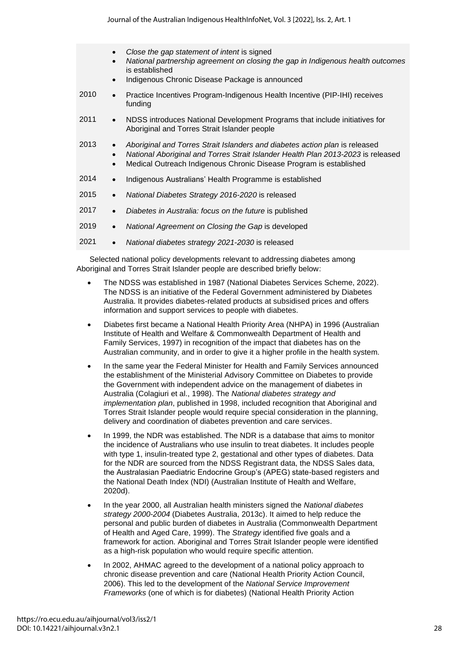- *Close the gap statement of intent* is signed
- *National partnership agreement on closing the gap in Indigenous health outcomes* is established
- Indigenous Chronic Disease Package is announced
- 2010 Practice Incentives Program-Indigenous Health Incentive (PIP-IHI) receives funding
- 2011 NDSS introduces National Development Programs that include initiatives for Aboriginal and Torres Strait Islander people
- 2013 *Aboriginal and Torres Strait Islanders and diabetes action plan* is released
	- *National Aboriginal and Torres Strait Islander Health Plan 2013-2023* is released
		- Medical Outreach Indigenous Chronic Disease Program is established
- 2014 Indigenous Australians' Health Programme is established
- 2015 *National Diabetes Strategy 2016-2020* is released
- 2017 *Diabetes in Australia: focus on the future* is published
- 2019 *National Agreement on Closing the Gap* is developed
- 2021 *National diabetes strategy 2021-2030* is released

Selected national policy developments relevant to addressing diabetes among Aboriginal and Torres Strait Islander people are described briefly below:

- The NDSS was established in 1987 (National Diabetes Services Scheme, 2022). The NDSS is an initiative of the Federal Government administered by Diabetes Australia. It provides diabetes-related products at subsidised prices and offers information and support services to people with diabetes.
- Diabetes first became a National Health Priority Area (NHPA) in 1996 (Australian Institute of Health and Welfare & Commonwealth Department of Health and Family Services, 1997) in recognition of the impact that diabetes has on the Australian community, and in order to give it a higher profile in the health system.
- In the same year the Federal Minister for Health and Family Services announced the establishment of the Ministerial Advisory Committee on Diabetes to provide the Government with independent advice on the management of diabetes in Australia (Colagiuri et al., 1998). The *National diabetes strategy and implementation plan*, published in 1998, included recognition that Aboriginal and Torres Strait Islander people would require special consideration in the planning, delivery and coordination of diabetes prevention and care services.
- In 1999, the NDR was established. The NDR is a database that aims to monitor the incidence of Australians who use insulin to treat diabetes. It includes people with type 1, insulin-treated type 2, gestational and other types of diabetes. Data for the NDR are sourced from the NDSS Registrant data, the NDSS Sales data, the Australasian Paediatric Endocrine Group's (APEG) state-based registers and the National Death Index (NDI) (Australian Institute of Health and Welfare, 2020d).
- In the year 2000, all Australian health ministers signed the *National diabetes strategy 2000-2004* (Diabetes Australia, 2013c). It aimed to help reduce the personal and public burden of diabetes in Australia (Commonwealth Department of Health and Aged Care, 1999). The *Strategy* identified five goals and a framework for action. Aboriginal and Torres Strait Islander people were identified as a high-risk population who would require specific attention.
- In 2002, AHMAC agreed to the development of a national policy approach to chronic disease prevention and care (National Health Priority Action Council, 2006). This led to the development of the *National Service Improvement Frameworks* (one of which is for diabetes) (National Health Priority Action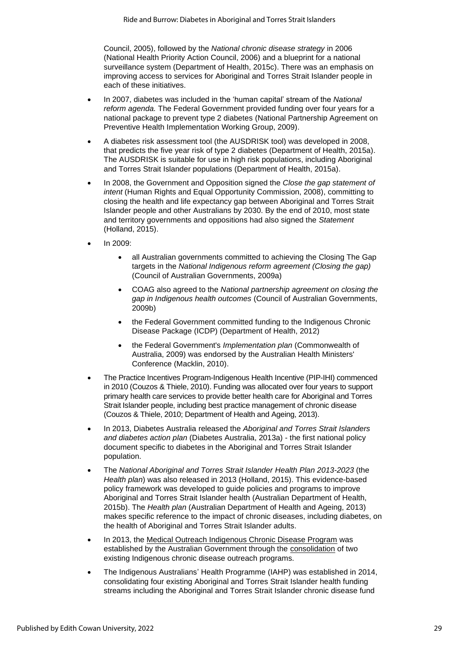Council, 2005), followed by the *National chronic disease strategy* in 2006 (National Health Priority Action Council, 2006) and a blueprint for a national surveillance system (Department of Health, 2015c). There was an emphasis on improving access to services for Aboriginal and Torres Strait Islander people in each of these initiatives.

- In 2007, diabetes was included in the 'human capital' stream of the *National reform agenda.* The Federal Government provided funding over four years for a national package to prevent type 2 diabetes (National Partnership Agreement on Preventive Health Implementation Working Group, 2009).
- A diabetes risk assessment tool (the AUSDRISK tool) was developed in 2008, that predicts the five year risk of type 2 diabetes (Department of Health, 2015a). The AUSDRISK is suitable for use in high risk populations, including Aboriginal and Torres Strait Islander populations (Department of Health, 2015a).
- In 2008, the Government and Opposition signed the *Close the gap statement of intent* (Human Rights and Equal Opportunity Commission, 2008), committing to closing the health and life expectancy gap between Aboriginal and Torres Strait Islander people and other Australians by 2030. By the end of 2010, most state and territory governments and oppositions had also signed the *Statement* (Holland, 2015).
- In 2009:
	- all Australian governments committed to achieving the Closing The Gap targets in the *National Indigenous reform agreement (Closing the gap)* (Council of Australian Governments, 2009a)
	- COAG also agreed to the *National partnership agreement on closing the gap in Indigenous health outcomes* (Council of Australian Governments, 2009b)
	- the Federal Government committed funding to the Indigenous Chronic Disease Package (ICDP) (Department of Health, 2012)
	- the Federal Government's *Implementation plan* (Commonwealth of Australia, 2009) was endorsed by the Australian Health Ministers' Conference (Macklin, 2010).
- The Practice Incentives Program-Indigenous Health Incentive (PIP-IHI) commenced in 2010 (Couzos & Thiele, 2010). Funding was allocated over four years to support primary health care services to provide better health care for Aboriginal and Torres Strait Islander people, including best practice management of chronic disease (Couzos & Thiele, 2010; Department of Health and Ageing, 2013).
- In 2013, Diabetes Australia released the *Aboriginal and Torres Strait Islanders and diabetes action plan* (Diabetes Australia, 2013a) - the first national policy document specific to diabetes in the Aboriginal and Torres Strait Islander population.
- The *National Aboriginal and Torres Strait Islander Health Plan 2013-2023* (the *Health plan*) was also released in 2013 (Holland, 2015). This evidence-based policy framework was developed to guide policies and programs to improve Aboriginal and Torres Strait Islander health (Australian Department of Health, 2015b). The *Health plan* (Australian Department of Health and Ageing, 2013) makes specific reference to the impact of chronic diseases, including diabetes, on the health of Aboriginal and Torres Strait Islander adults.
- In 2013, the [Medical Outreach Indigenous Chronic Disease Program](https://www.health.gov.au/initiatives-and-programs/medical-outreach-indigenous-chronic-diseases-program) was established by the Australian Government through the [consolidation](https://www.ruralhealthwest.com.au/docs/outreach-in-the-outback-docs/fly-moicdp-outline-201396095CDD82A5.pdf?sfvrsn=2)%20%20%20(Australian) of two existing Indigenous chronic disease outreach programs.
- The Indigenous Australians' Health Programme (IAHP) was established in 2014, consolidating four existing Aboriginal and Torres Strait Islander health funding streams including the Aboriginal and Torres Strait Islander chronic disease fund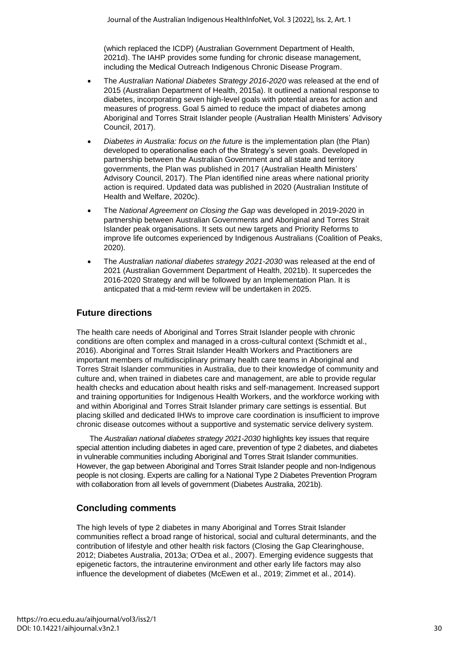(which replaced the ICDP) (Australian Government Department of Health, 2021d). The IAHP provides some funding for chronic disease management, including the Medical Outreach Indigenous Chronic Disease Program.

- The *Australian National Diabetes Strategy 2016-2020* was released at the end of 2015 (Australian Department of Health, 2015a). It outlined a national response to diabetes, incorporating seven high-level goals with potential areas for action and measures of progress. Goal 5 aimed to reduce the impact of diabetes among Aboriginal and Torres Strait Islander people (Australian Health Ministers' Advisory Council, 2017).
- *Diabetes in Australia: focus on the future* is the implementation plan (the Plan) developed to operationalise each of the Strategy's seven goals. Developed in partnership between the Australian Government and all state and territory governments, the Plan was published in 2017 (Australian Health Ministers' Advisory Council, 2017). The Plan identified nine areas where national priority action is required. Updated data was published in 2020 (Australian Institute of Health and Welfare, 2020c).
- The *National Agreement on Closing the Gap* was developed in 2019-2020 in partnership between Australian Governments and Aboriginal and Torres Strait Islander peak organisations. It sets out new targets and Priority Reforms to improve life outcomes experienced by Indigenous Australians (Coalition of Peaks, 2020).
- The *Australian national diabetes strategy 2021-2030* was released at the end of 2021 (Australian Government Department of Health, 2021b). It supercedes the 2016-2020 Strategy and will be followed by an Implementation Plan. It is anticpated that a mid-term review will be undertaken in 2025.

# **Future directions**

The health care needs of Aboriginal and Torres Strait Islander people with chronic conditions are often complex and managed in a cross-cultural context (Schmidt et al., 2016). Aboriginal and Torres Strait Islander Health Workers and Practitioners are important members of multidisciplinary primary health care teams in Aboriginal and Torres Strait Islander communities in Australia, due to their knowledge of community and culture and, when trained in diabetes care and management, are able to provide regular health checks and education about health risks and self-management. Increased support and training opportunities for Indigenous Health Workers, and the workforce working with and within Aboriginal and Torres Strait Islander primary care settings is essential. But placing skilled and dedicated IHWs to improve care coordination is insufficient to improve chronic disease outcomes without a supportive and systematic service delivery system.

The *Australian national diabetes strategy 2021-2030* highlights key issues that require special attention including diabetes in aged care, prevention of type 2 diabetes, and diabetes in vulnerable communities including Aboriginal and Torres Strait Islander communities. However, the gap between Aboriginal and Torres Strait Islander people and non-Indigenous people is not closing. Experts are calling for a National Type 2 Diabetes Prevention Program with collaboration from all levels of government (Diabetes Australia, 2021b).

# **Concluding comments**

The high levels of type 2 diabetes in many Aboriginal and Torres Strait Islander communities reflect a broad range of historical, social and cultural determinants, and the contribution of lifestyle and other health risk factors (Closing the Gap Clearinghouse, 2012; Diabetes Australia, 2013a; O'Dea et al., 2007). Emerging evidence suggests that epigenetic factors, the intrauterine environment and other early life factors may also influence the development of diabetes (McEwen et al., 2019; Zimmet et al., 2014).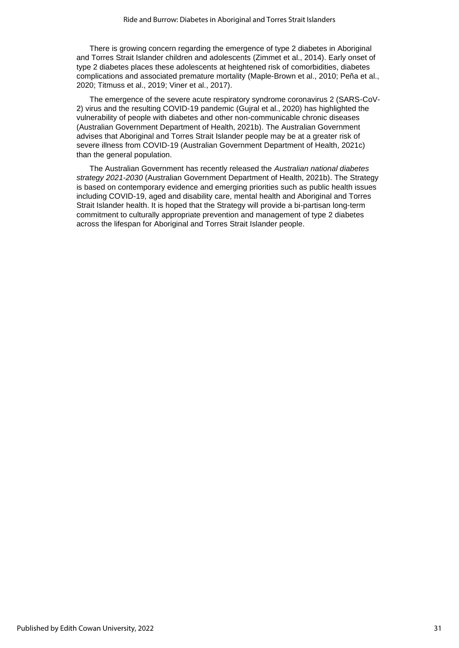There is growing concern regarding the emergence of type 2 diabetes in Aboriginal and Torres Strait Islander children and adolescents (Zimmet et al., 2014). Early onset of type 2 diabetes places these adolescents at heightened risk of comorbidities, diabetes complications and associated premature mortality (Maple-Brown et al., 2010; Peña et al., 2020; Titmuss et al., 2019; Viner et al., 2017).

The emergence of the severe acute respiratory syndrome coronavirus 2 (SARS-CoV-2) virus and the resulting COVID-19 pandemic (Gujral et al., 2020) has highlighted the vulnerability of people with diabetes and other non-communicable chronic diseases (Australian Government Department of Health, 2021b). The Australian Government advises that Aboriginal and Torres Strait Islander people may be at a greater risk of severe illness from COVID-19 (Australian Government Department of Health, 2021c) than the general population.

The Australian Government has recently released the *Australian national diabetes strategy 2021-2030* (Australian Government Department of Health, 2021b). The Strategy is based on contemporary evidence and emerging priorities such as public health issues including COVID-19, aged and disability care, mental health and Aboriginal and Torres Strait Islander health. It is hoped that the Strategy will provide a bi-partisan long-term commitment to culturally appropriate prevention and management of type 2 diabetes across the lifespan for Aboriginal and Torres Strait Islander people.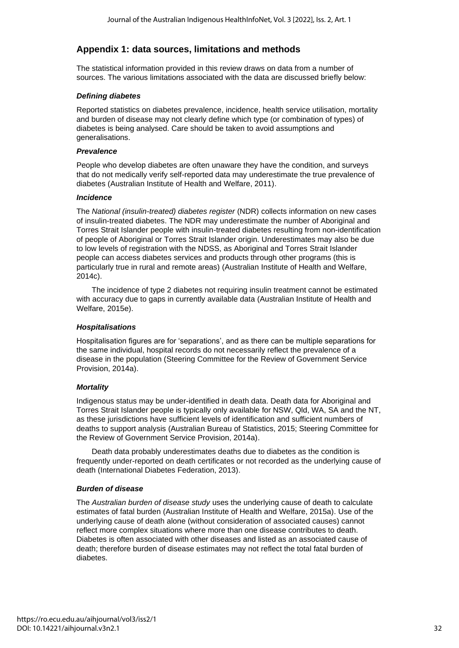# **Appendix 1: data sources, limitations and methods**

The statistical information provided in this review draws on data from a number of sources. The various limitations associated with the data are discussed briefly below:

### *Defining diabetes*

Reported statistics on diabetes prevalence, incidence, health service utilisation, mortality and burden of disease may not clearly define which type (or combination of types) of diabetes is being analysed. Care should be taken to avoid assumptions and generalisations.

### *Prevalence*

People who develop diabetes are often unaware they have the condition, and surveys that do not medically verify self-reported data may underestimate the true prevalence of diabetes (Australian Institute of Health and Welfare, 2011).

### *Incidence*

The *National (insulin-treated) diabetes register* (NDR) collects information on new cases of insulin-treated diabetes. The NDR may underestimate the number of Aboriginal and Torres Strait Islander people with insulin-treated diabetes resulting from non-identification of people of Aboriginal or Torres Strait Islander origin. Underestimates may also be due to low levels of registration with the NDSS, as Aboriginal and Torres Strait Islander people can access diabetes services and products through other programs (this is particularly true in rural and remote areas) (Australian Institute of Health and Welfare, 2014c).

The incidence of type 2 diabetes not requiring insulin treatment cannot be estimated with accuracy due to gaps in currently available data (Australian Institute of Health and Welfare, 2015e).

# *Hospitalisations*

Hospitalisation figures are for 'separations', and as there can be multiple separations for the same individual, hospital records do not necessarily reflect the prevalence of a disease in the population (Steering Committee for the Review of Government Service Provision, 2014a).

# *Mortality*

Indigenous status may be under-identified in death data. Death data for Aboriginal and Torres Strait Islander people is typically only available for NSW, Qld, WA, SA and the NT, as these jurisdictions have sufficient levels of identification and sufficient numbers of deaths to support analysis (Australian Bureau of Statistics, 2015; Steering Committee for the Review of Government Service Provision, 2014a).

Death data probably underestimates deaths due to diabetes as the condition is frequently under-reported on death certificates or not recorded as the underlying cause of death (International Diabetes Federation, 2013).

# *Burden of disease*

The *Australian burden of disease study* uses the underlying cause of death to calculate estimates of fatal burden (Australian Institute of Health and Welfare, 2015a). Use of the underlying cause of death alone (without consideration of associated causes) cannot reflect more complex situations where more than one disease contributes to death. Diabetes is often associated with other diseases and listed as an associated cause of death; therefore burden of disease estimates may not reflect the total fatal burden of diabetes.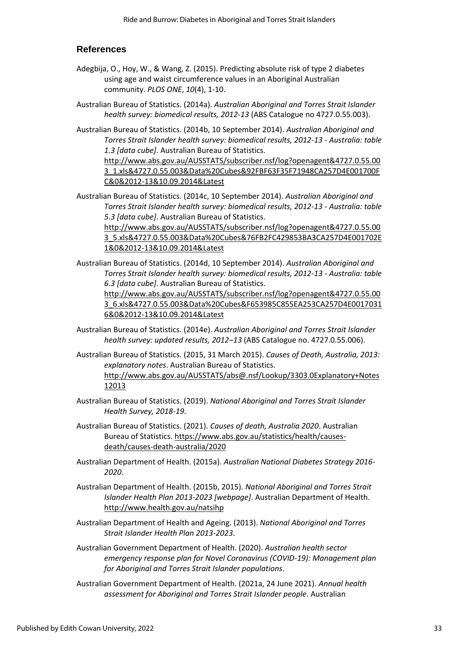# **References**

- Adegbija, O., Hoy, W., & Wang, Z. (2015). Predicting absolute risk of type 2 diabetes using age and waist circumference values in an Aboriginal Australian community. *PLOS ONE*, *10*(4), 1-10.
- Australian Bureau of Statistics. (2014a). *Australian Aboriginal and Torres Strait Islander health survey: biomedical results, 2012-13* (ABS Catalogue no 4727.0.55.003).

Australian Bureau of Statistics. (2014b, 10 September 2014). *Australian Aboriginal and Torres Strait Islander health survey: biomedical results, 2012-13 - Australia: table 1.3 [data cube]*. Australian Bureau of Statistics.

[http://www.abs.gov.au/AUSSTATS/subscriber.nsf/log?openagent&4727.0.55.00](http://www.abs.gov.au/AUSSTATS/subscriber.nsf/log?openagent&4727.0.55.003_1.xls&4727.0.55.003&Data%20Cubes&92FBF63F35F71948CA257D4E001700FC&0&2012-13&10.09.2014&Latest) [3\\_1.xls&4727.0.55.003&Data%20Cubes&92FBF63F35F71948CA257D4E001700F](http://www.abs.gov.au/AUSSTATS/subscriber.nsf/log?openagent&4727.0.55.003_1.xls&4727.0.55.003&Data%20Cubes&92FBF63F35F71948CA257D4E001700FC&0&2012-13&10.09.2014&Latest) [C&0&2012-13&10.09.2014&Latest](http://www.abs.gov.au/AUSSTATS/subscriber.nsf/log?openagent&4727.0.55.003_1.xls&4727.0.55.003&Data%20Cubes&92FBF63F35F71948CA257D4E001700FC&0&2012-13&10.09.2014&Latest)

Australian Bureau of Statistics. (2014c, 10 September 2014). *Australian Aboriginal and Torres Strait Islander health survey: biomedical results, 2012-13 - Australia: table 5.3 [data cube]*. Australian Bureau of Statistics. [http://www.abs.gov.au/AUSSTATS/subscriber.nsf/log?openagent&4727.0.55.00](http://www.abs.gov.au/AUSSTATS/subscriber.nsf/log?openagent&4727.0.55.003_5.xls&4727.0.55.003&Data%20Cubes&76FB2FC429853BA3CA257D4E001702E1&0&2012-13&10.09.2014&Latest) [3\\_5.xls&4727.0.55.003&Data%20Cubes&76FB2FC429853BA3CA257D4E001702E](http://www.abs.gov.au/AUSSTATS/subscriber.nsf/log?openagent&4727.0.55.003_5.xls&4727.0.55.003&Data%20Cubes&76FB2FC429853BA3CA257D4E001702E1&0&2012-13&10.09.2014&Latest)

[1&0&2012-13&10.09.2014&Latest](http://www.abs.gov.au/AUSSTATS/subscriber.nsf/log?openagent&4727.0.55.003_5.xls&4727.0.55.003&Data%20Cubes&76FB2FC429853BA3CA257D4E001702E1&0&2012-13&10.09.2014&Latest)

Australian Bureau of Statistics. (2014d, 10 September 2014). *Australian Aboriginal and Torres Strait Islander health survey: biomedical results, 2012-13 - Australia: table 6.3 [data cube]*. Australian Bureau of Statistics. [http://www.abs.gov.au/AUSSTATS/subscriber.nsf/log?openagent&4727.0.55.00](http://www.abs.gov.au/AUSSTATS/subscriber.nsf/log?openagent&4727.0.55.003_6.xls&4727.0.55.003&Data%20Cubes&F653985C855EA253CA257D4E00170316&0&2012-13&10.09.2014&Latest)

[3\\_6.xls&4727.0.55.003&Data%20Cubes&F653985C855EA253CA257D4E0017031](http://www.abs.gov.au/AUSSTATS/subscriber.nsf/log?openagent&4727.0.55.003_6.xls&4727.0.55.003&Data%20Cubes&F653985C855EA253CA257D4E00170316&0&2012-13&10.09.2014&Latest) [6&0&2012-13&10.09.2014&Latest](http://www.abs.gov.au/AUSSTATS/subscriber.nsf/log?openagent&4727.0.55.003_6.xls&4727.0.55.003&Data%20Cubes&F653985C855EA253CA257D4E00170316&0&2012-13&10.09.2014&Latest)

Australian Bureau of Statistics. (2014e). *Australian Aboriginal and Torres Strait Islander health survey: updated results, 2012–13* (ABS Catalogue no. 4727.0.55.006).

Australian Bureau of Statistics. (2015, 31 March 2015). *Causes of Death, Australia, 2013: explanatory notes*. Australian Bureau of Statistics. [http://www.abs.gov.au/AUSSTATS/abs@.nsf/Lookup/3303.0Explanatory+Notes](http://www.abs.gov.au/AUSSTATS/abs@.nsf/Lookup/3303.0Explanatory+Notes12013) [12013](http://www.abs.gov.au/AUSSTATS/abs@.nsf/Lookup/3303.0Explanatory+Notes12013)

- Australian Bureau of Statistics. (2019). *National Aboriginal and Torres Strait Islander Health Survey, 2018-19*.
- Australian Bureau of Statistics. (2021). *Causes of death, Australia 2020*. Australian Bureau of Statistics[. https://www.abs.gov.au/statistics/health/causes](https://www.abs.gov.au/statistics/health/causes-death/causes-death-australia/2020)[death/causes-death-australia/2020](https://www.abs.gov.au/statistics/health/causes-death/causes-death-australia/2020)
- Australian Department of Health. (2015a). *Australian National Diabetes Strategy 2016- 2020*.
- Australian Department of Health. (2015b, 2015). *National Aboriginal and Torres Strait Islander Health Plan 2013-2023 [webpage]*. Australian Department of Health. <http://www.health.gov.au/natsihp>
- Australian Department of Health and Ageing. (2013). *National Aboriginal and Torres Strait Islander Health Plan 2013-2023*.
- Australian Government Department of Health. (2020). *Australian health sector emergency response plan for Novel Coronavirus (COVID-19): Management plan for Aboriginal and Torres Strait Islander populations*.
- Australian Government Department of Health. (2021a, 24 June 2021). *Annual health assessment for Aboriginal and Torres Strait Islander people*. Australian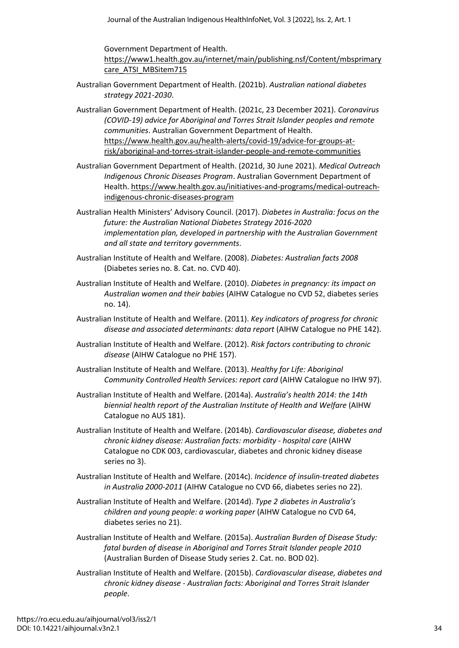Government Department of Health.

[https://www1.health.gov.au/internet/main/publishing.nsf/Content/mbsprimary](https://www1.health.gov.au/internet/main/publishing.nsf/Content/mbsprimarycare_ATSI_MBSitem715) [care\\_ATSI\\_MBSitem715](https://www1.health.gov.au/internet/main/publishing.nsf/Content/mbsprimarycare_ATSI_MBSitem715)

Australian Government Department of Health. (2021b). *Australian national diabetes strategy 2021-2030*.

Australian Government Department of Health. (2021c, 23 December 2021). *Coronavirus (COVID-19) advice for Aboriginal and Torres Strait Islander peoples and remote communities*. Australian Government Department of Health. [https://www.health.gov.au/health-alerts/covid-19/advice-for-groups-at](https://www.health.gov.au/health-alerts/covid-19/advice-for-groups-at-risk/aboriginal-and-torres-strait-islander-people-and-remote-communities)[risk/aboriginal-and-torres-strait-islander-people-and-remote-communities](https://www.health.gov.au/health-alerts/covid-19/advice-for-groups-at-risk/aboriginal-and-torres-strait-islander-people-and-remote-communities)

- Australian Government Department of Health. (2021d, 30 June 2021). *Medical Outreach Indigenous Chronic Diseases Program*. Australian Government Department of Health. [https://www.health.gov.au/initiatives-and-programs/medical-outreach](https://www.health.gov.au/initiatives-and-programs/medical-outreach-indigenous-chronic-diseases-program)[indigenous-chronic-diseases-program](https://www.health.gov.au/initiatives-and-programs/medical-outreach-indigenous-chronic-diseases-program)
- Australian Health Ministers' Advisory Council. (2017). *Diabetes in Australia: focus on the future: the Australian National Diabetes Strategy 2016-2020 implementation plan, developed in partnership with the Australian Government and all state and territory governments*.
- Australian Institute of Health and Welfare. (2008). *Diabetes: Australian facts 2008* (Diabetes series no. 8. Cat. no. CVD 40).
- Australian Institute of Health and Welfare. (2010). *Diabetes in pregnancy: its impact on Australian women and their babies* (AIHW Catalogue no CVD 52, diabetes series no. 14).
- Australian Institute of Health and Welfare. (2011). *Key indicators of progress for chronic disease and associated determinants: data report* (AIHW Catalogue no PHE 142).
- Australian Institute of Health and Welfare. (2012). *Risk factors contributing to chronic disease* (AIHW Catalogue no PHE 157).
- Australian Institute of Health and Welfare. (2013). *Healthy for Life: Aboriginal Community Controlled Health Services: report card* (AIHW Catalogue no IHW 97).
- Australian Institute of Health and Welfare. (2014a). *Australia's health 2014: the 14th biennial health report of the Australian Institute of Health and Welfare* (AIHW Catalogue no AUS 181).
- Australian Institute of Health and Welfare. (2014b). *Cardiovascular disease, diabetes and chronic kidney disease: Australian facts: morbidity - hospital care* (AIHW Catalogue no CDK 003, cardiovascular, diabetes and chronic kidney disease series no 3).
- Australian Institute of Health and Welfare. (2014c). *Incidence of insulin-treated diabetes in Australia 2000-2011* (AIHW Catalogue no CVD 66, diabetes series no 22).
- Australian Institute of Health and Welfare. (2014d). *Type 2 diabetes in Australia's children and young people: a working paper* (AIHW Catalogue no CVD 64, diabetes series no 21).
- Australian Institute of Health and Welfare. (2015a). *Australian Burden of Disease Study: fatal burden of disease in Aboriginal and Torres Strait Islander people 2010* (Australian Burden of Disease Study series 2. Cat. no. BOD 02).
- Australian Institute of Health and Welfare. (2015b). *Cardiovascular disease, diabetes and chronic kidney disease - Australian facts: Aboriginal and Torres Strait Islander people*.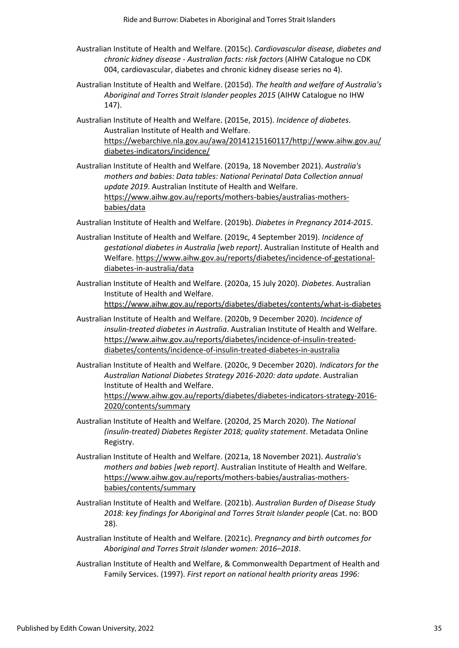- Australian Institute of Health and Welfare. (2015c). *Cardiovascular disease, diabetes and chronic kidney disease - Australian facts: risk factors* (AIHW Catalogue no CDK 004, cardiovascular, diabetes and chronic kidney disease series no 4).
- Australian Institute of Health and Welfare. (2015d). *The health and welfare of Australia's Aboriginal and Torres Strait Islander peoples 2015* (AIHW Catalogue no IHW 147).
- Australian Institute of Health and Welfare. (2015e, 2015). *Incidence of diabetes*. Australian Institute of Health and Welfare. [https://webarchive.nla.gov.au/awa/20141215160117/http://www.aihw.gov.au/](https://webarchive.nla.gov.au/awa/20141215160117/http:/www.aihw.gov.au/diabetes-indicators/incidence/) [diabetes-indicators/incidence/](https://webarchive.nla.gov.au/awa/20141215160117/http:/www.aihw.gov.au/diabetes-indicators/incidence/)
- Australian Institute of Health and Welfare. (2019a, 18 November 2021). *Australia's mothers and babies: Data tables: National Perinatal Data Collection annual update 2019*. Australian Institute of Health and Welfare. [https://www.aihw.gov.au/reports/mothers-babies/australias-mothers](https://www.aihw.gov.au/reports/mothers-babies/australias-mothers-babies/data)[babies/data](https://www.aihw.gov.au/reports/mothers-babies/australias-mothers-babies/data)
- Australian Institute of Health and Welfare. (2019b). *Diabetes in Pregnancy 2014-2015*.
- Australian Institute of Health and Welfare. (2019c, 4 September 2019). *Incidence of gestational diabetes in Australia [web report]*. Australian Institute of Health and Welfare. [https://www.aihw.gov.au/reports/diabetes/incidence-of-gestational](https://www.aihw.gov.au/reports/diabetes/incidence-of-gestational-diabetes-in-australia/data)[diabetes-in-australia/data](https://www.aihw.gov.au/reports/diabetes/incidence-of-gestational-diabetes-in-australia/data)
- Australian Institute of Health and Welfare. (2020a, 15 July 2020). *Diabetes*. Australian Institute of Health and Welfare. <https://www.aihw.gov.au/reports/diabetes/diabetes/contents/what-is-diabetes>
- Australian Institute of Health and Welfare. (2020b, 9 December 2020). *Incidence of insulin-treated diabetes in Australia*. Australian Institute of Health and Welfare. [https://www.aihw.gov.au/reports/diabetes/incidence-of-insulin-treated](https://www.aihw.gov.au/reports/diabetes/incidence-of-insulin-treated-diabetes/contents/incidence-of-insulin-treated-diabetes-in-australia)[diabetes/contents/incidence-of-insulin-treated-diabetes-in-australia](https://www.aihw.gov.au/reports/diabetes/incidence-of-insulin-treated-diabetes/contents/incidence-of-insulin-treated-diabetes-in-australia)
- Australian Institute of Health and Welfare. (2020c, 9 December 2020). *Indicators for the Australian National Diabetes Strategy 2016-2020: data update*. Australian Institute of Health and Welfare. [https://www.aihw.gov.au/reports/diabetes/diabetes-indicators-strategy-2016-](https://www.aihw.gov.au/reports/diabetes/diabetes-indicators-strategy-2016-2020/contents/summary) [2020/contents/summary](https://www.aihw.gov.au/reports/diabetes/diabetes-indicators-strategy-2016-2020/contents/summary)
- Australian Institute of Health and Welfare. (2020d, 25 March 2020). *The National (insulin-treated) Diabetes Register 2018; quality statement*. Metadata Online Registry.
- Australian Institute of Health and Welfare. (2021a, 18 November 2021). *Australia's mothers and babies [web report]*. Australian Institute of Health and Welfare. [https://www.aihw.gov.au/reports/mothers-babies/australias-mothers](https://www.aihw.gov.au/reports/mothers-babies/australias-mothers-babies/contents/summary)[babies/contents/summary](https://www.aihw.gov.au/reports/mothers-babies/australias-mothers-babies/contents/summary)
- Australian Institute of Health and Welfare. (2021b). *Australian Burden of Disease Study 2018: key findings for Aboriginal and Torres Strait Islander people* (Cat. no: BOD 28).
- Australian Institute of Health and Welfare. (2021c). *Pregnancy and birth outcomes for Aboriginal and Torres Strait Islander women: 2016–2018*.
- Australian Institute of Health and Welfare, & Commonwealth Department of Health and Family Services. (1997). *First report on national health priority areas 1996:*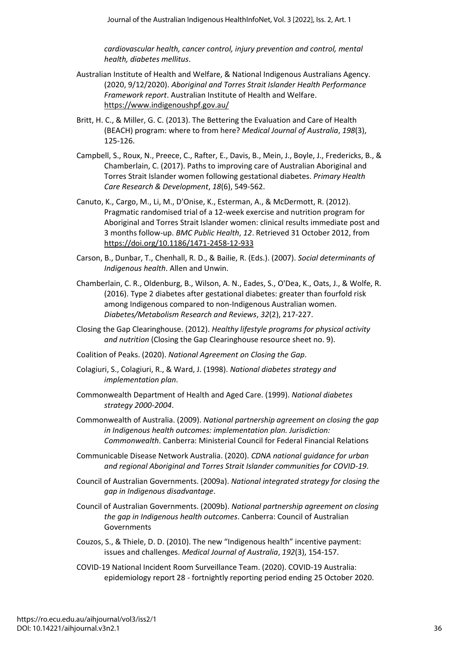*cardiovascular health, cancer control, injury prevention and control, mental health, diabetes mellitus*.

- Australian Institute of Health and Welfare, & National Indigenous Australians Agency. (2020, 9/12/2020). *Aboriginal and Torres Strait Islander Health Performance Framework report*. Australian Institute of Health and Welfare. <https://www.indigenoushpf.gov.au/>
- Britt, H. C., & Miller, G. C. (2013). The Bettering the Evaluation and Care of Health (BEACH) program: where to from here? *Medical Journal of Australia*, *198*(3), 125-126.
- Campbell, S., Roux, N., Preece, C., Rafter, E., Davis, B., Mein, J., Boyle, J., Fredericks, B., & Chamberlain, C. (2017). Paths to improving care of Australian Aboriginal and Torres Strait Islander women following gestational diabetes. *Primary Health Care Research & Development*, *18*(6), 549-562.
- Canuto, K., Cargo, M., Li, M., D'Onise, K., Esterman, A., & McDermott, R. (2012). Pragmatic randomised trial of a 12-week exercise and nutrition program for Aboriginal and Torres Strait Islander women: clinical results immediate post and 3 months follow-up. *BMC Public Health*, *12*. Retrieved 31 October 2012, from <https://doi.org/10.1186/1471-2458-12-933>
- Carson, B., Dunbar, T., Chenhall, R. D., & Bailie, R. (Eds.). (2007). *Social determinants of Indigenous health*. Allen and Unwin.
- Chamberlain, C. R., Oldenburg, B., Wilson, A. N., Eades, S., O'Dea, K., Oats, J., & Wolfe, R. (2016). Type 2 diabetes after gestational diabetes: greater than fourfold risk among Indigenous compared to non-Indigenous Australian women. *Diabetes/Metabolism Research and Reviews*, *32*(2), 217-227.
- Closing the Gap Clearinghouse. (2012). *Healthy lifestyle programs for physical activity and nutrition* (Closing the Gap Clearinghouse resource sheet no. 9).
- Coalition of Peaks. (2020). *National Agreement on Closing the Gap*.
- Colagiuri, S., Colagiuri, R., & Ward, J. (1998). *National diabetes strategy and implementation plan*.
- Commonwealth Department of Health and Aged Care. (1999). *National diabetes strategy 2000-2004*.
- Commonwealth of Australia. (2009). *National partnership agreement on closing the gap in Indigenous health outcomes: implementation plan. Jurisdiction: Commonwealth*. Canberra: Ministerial Council for Federal Financial Relations
- Communicable Disease Network Australia. (2020). *CDNA national guidance for urban and regional Aboriginal and Torres Strait Islander communities for COVID-19*.
- Council of Australian Governments. (2009a). *National integrated strategy for closing the gap in Indigenous disadvantage*.
- Council of Australian Governments. (2009b). *National partnership agreement on closing the gap in Indigenous health outcomes*. Canberra: Council of Australian Governments
- Couzos, S., & Thiele, D. D. (2010). The new "Indigenous health" incentive payment: issues and challenges. *Medical Journal of Australia*, *192*(3), 154-157.
- COVID-19 National Incident Room Surveillance Team. (2020). COVID-19 Australia: epidemiology report 28 - fortnightly reporting period ending 25 October 2020.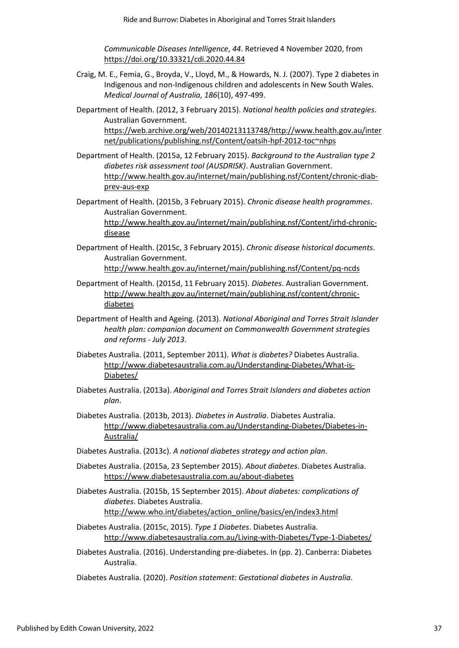*Communicable Diseases Intelligence*, *44*. Retrieved 4 November 2020, from <https://doi.org/10.33321/cdi.2020.44.84>

- Craig, M. E., Femia, G., Broyda, V., Lloyd, M., & Howards, N. J. (2007). Type 2 diabetes in Indigenous and non-Indigenous children and adolescents in New South Wales. *Medical Journal of Australia*, *186*(10), 497-499.
- Department of Health. (2012, 3 February 2015). *National health policies and strategies*. Australian Government. [https://web.archive.org/web/20140213113748/http://www.health.gov.au/inter](https://web.archive.org/web/20140213113748/http:/www.health.gov.au/internet/publications/publishing.nsf/Content/oatsih-hpf-2012-toc~nhps)

[net/publications/publishing.nsf/Content/oatsih-hpf-2012-toc~nhps](https://web.archive.org/web/20140213113748/http:/www.health.gov.au/internet/publications/publishing.nsf/Content/oatsih-hpf-2012-toc~nhps)

- Department of Health. (2015a, 12 February 2015). *Background to the Australian type 2 diabetes risk assessment tool (AUSDRISK)*. Australian Government. [http://www.health.gov.au/internet/main/publishing.nsf/Content/chronic-diab](http://www.health.gov.au/internet/main/publishing.nsf/Content/chronic-diab-prev-aus-exp)[prev-aus-exp](http://www.health.gov.au/internet/main/publishing.nsf/Content/chronic-diab-prev-aus-exp)
- Department of Health. (2015b, 3 February 2015). *Chronic disease health programmes*. Australian Government. [http://www.health.gov.au/internet/main/publishing.nsf/Content/irhd-chronic](http://www.health.gov.au/internet/main/publishing.nsf/Content/irhd-chronic-disease)[disease](http://www.health.gov.au/internet/main/publishing.nsf/Content/irhd-chronic-disease)
- Department of Health. (2015c, 3 February 2015). *Chronic disease historical documents*. Australian Government. <http://www.health.gov.au/internet/main/publishing.nsf/Content/pq-ncds>
- Department of Health. (2015d, 11 February 2015). *Diabetes*. Australian Government. [http://www.health.gov.au/internet/main/publishing.nsf/content/chronic](http://www.health.gov.au/internet/main/publishing.nsf/content/chronic-diabetes)[diabetes](http://www.health.gov.au/internet/main/publishing.nsf/content/chronic-diabetes)
- Department of Health and Ageing. (2013). *National Aboriginal and Torres Strait Islander health plan: companion document on Commonwealth Government strategies and reforms - July 2013*.
- Diabetes Australia. (2011, September 2011). *What is diabetes?* Diabetes Australia. [http://www.diabetesaustralia.com.au/Understanding-Diabetes/What-is-](http://www.diabetesaustralia.com.au/Understanding-Diabetes/What-is-Diabetes/)[Diabetes/](http://www.diabetesaustralia.com.au/Understanding-Diabetes/What-is-Diabetes/)
- Diabetes Australia. (2013a). *Aboriginal and Torres Strait Islanders and diabetes action plan*.
- Diabetes Australia. (2013b, 2013). *Diabetes in Australia*. Diabetes Australia. [http://www.diabetesaustralia.com.au/Understanding-Diabetes/Diabetes-in-](http://www.diabetesaustralia.com.au/Understanding-Diabetes/Diabetes-in-Australia/)[Australia/](http://www.diabetesaustralia.com.au/Understanding-Diabetes/Diabetes-in-Australia/)
- Diabetes Australia. (2013c). *A national diabetes strategy and action plan*.
- Diabetes Australia. (2015a, 23 September 2015). *About diabetes*. Diabetes Australia. <https://www.diabetesaustralia.com.au/about-diabetes>
- Diabetes Australia. (2015b, 15 September 2015). *About diabetes: complications of diabetes*. Diabetes Australia. [http://www.who.int/diabetes/action\\_online/basics/en/index3.html](http://www.who.int/diabetes/action_online/basics/en/index3.html)
- Diabetes Australia. (2015c, 2015). *Type 1 Diabetes*. Diabetes Australia. <http://www.diabetesaustralia.com.au/Living-with-Diabetes/Type-1-Diabetes/>
- Diabetes Australia. (2016). Understanding pre-diabetes. In (pp. 2). Canberra: Diabetes Australia.
- Diabetes Australia. (2020). *Position statement: Gestational diabetes in Australia*.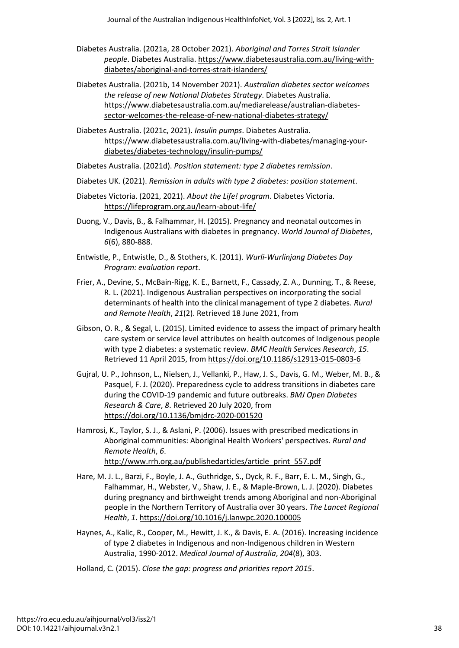- Diabetes Australia. (2021a, 28 October 2021). *Aboriginal and Torres Strait Islander people*. Diabetes Australia. [https://www.diabetesaustralia.com.au/living-with](https://www.diabetesaustralia.com.au/living-with-diabetes/aboriginal-and-torres-strait-islanders/)[diabetes/aboriginal-and-torres-strait-islanders/](https://www.diabetesaustralia.com.au/living-with-diabetes/aboriginal-and-torres-strait-islanders/)
- Diabetes Australia. (2021b, 14 November 2021). *Australian diabetes sector welcomes the release of new National Diabetes Strategy*. Diabetes Australia. [https://www.diabetesaustralia.com.au/mediarelease/australian-diabetes](https://www.diabetesaustralia.com.au/mediarelease/australian-diabetes-sector-welcomes-the-release-of-new-national-diabetes-strategy/)[sector-welcomes-the-release-of-new-national-diabetes-strategy/](https://www.diabetesaustralia.com.au/mediarelease/australian-diabetes-sector-welcomes-the-release-of-new-national-diabetes-strategy/)
- Diabetes Australia. (2021c, 2021). *Insulin pumps*. Diabetes Australia. [https://www.diabetesaustralia.com.au/living-with-diabetes/managing-your](https://www.diabetesaustralia.com.au/living-with-diabetes/managing-your-diabetes/diabetes-technology/insulin-pumps/)[diabetes/diabetes-technology/insulin-pumps/](https://www.diabetesaustralia.com.au/living-with-diabetes/managing-your-diabetes/diabetes-technology/insulin-pumps/)
- Diabetes Australia. (2021d). *Position statement: type 2 diabetes remission*.
- Diabetes UK. (2021). *Remission in adults with type 2 diabetes: position statement*.
- Diabetes Victoria. (2021, 2021). *About the Life! program*. Diabetes Victoria. <https://lifeprogram.org.au/learn-about-life/>
- Duong, V., Davis, B., & Falhammar, H. (2015). Pregnancy and neonatal outcomes in Indigenous Australians with diabetes in pregnancy. *World Journal of Diabetes*, *6*(6), 880-888.
- Entwistle, P., Entwistle, D., & Stothers, K. (2011). *Wurli-Wurlinjang Diabetes Day Program: evaluation report*.
- Frier, A., Devine, S., McBain-Rigg, K. E., Barnett, F., Cassady, Z. A., Dunning, T., & Reese, R. L. (2021). Indigenous Australian perspectives on incorporating the social determinants of health into the clinical management of type 2 diabetes. *Rural and Remote Health*, *21*(2). Retrieved 18 June 2021, from
- Gibson, O. R., & Segal, L. (2015). Limited evidence to assess the impact of primary health care system or service level attributes on health outcomes of Indigenous people with type 2 diabetes: a systematic review. *BMC Health Services Research*, *15*. Retrieved 11 April 2015, from<https://doi.org/10.1186/s12913-015-0803-6>
- Gujral, U. P., Johnson, L., Nielsen, J., Vellanki, P., Haw, J. S., Davis, G. M., Weber, M. B., & Pasquel, F. J. (2020). Preparedness cycle to address transitions in diabetes care during the COVID-19 pandemic and future outbreaks. *BMJ Open Diabetes Research & Care*, *8*. Retrieved 20 July 2020, from <https://doi.org/10.1136/bmjdrc-2020-001520>
- Hamrosi, K., Taylor, S. J., & Aslani, P. (2006). Issues with prescribed medications in Aboriginal communities: Aboriginal Health Workers' perspectives. *Rural and Remote Health*, *6*. [http://www.rrh.org.au/publishedarticles/article\\_print\\_557.pdf](http://www.rrh.org.au/publishedarticles/article_print_557.pdf)
- Hare, M. J. L., Barzi, F., Boyle, J. A., Guthridge, S., Dyck, R. F., Barr, E. L. M., Singh, G., Falhammar, H., Webster, V., Shaw, J. E., & Maple-Brown, L. J. (2020). Diabetes during pregnancy and birthweight trends among Aboriginal and non-Aboriginal people in the Northern Territory of Australia over 30 years. *The Lancet Regional Health*, *1*.<https://doi.org/10.1016/j.lanwpc.2020.100005>
- Haynes, A., Kalic, R., Cooper, M., Hewitt, J. K., & Davis, E. A. (2016). Increasing incidence of type 2 diabetes in Indigenous and non-Indigenous children in Western Australia, 1990-2012. *Medical Journal of Australia*, *204*(8), 303.
- Holland, C. (2015). *Close the gap: progress and priorities report 2015*.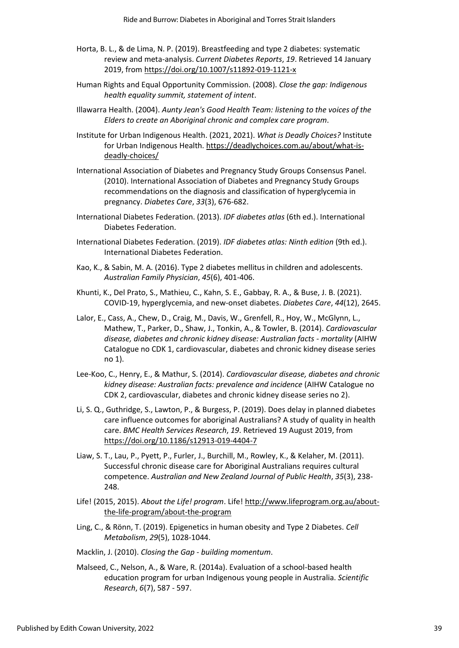- Horta, B. L., & de Lima, N. P. (2019). Breastfeeding and type 2 diabetes: systematic review and meta-analysis. *Current Diabetes Reports*, *19*. Retrieved 14 January 2019, from<https://doi.org/10.1007/s11892-019-1121-x>
- Human Rights and Equal Opportunity Commission. (2008). *Close the gap: Indigenous health equality summit, statement of intent*.
- Illawarra Health. (2004). *Aunty Jean's Good Health Team: listening to the voices of the Elders to create an Aboriginal chronic and complex care program*.
- Institute for Urban Indigenous Health. (2021, 2021). *What is Deadly Choices?* Institute for Urban Indigenous Health[. https://deadlychoices.com.au/about/what-is](https://deadlychoices.com.au/about/what-is-deadly-choices/)[deadly-choices/](https://deadlychoices.com.au/about/what-is-deadly-choices/)
- International Association of Diabetes and Pregnancy Study Groups Consensus Panel. (2010). International Association of Diabetes and Pregnancy Study Groups recommendations on the diagnosis and classification of hyperglycemia in pregnancy. *Diabetes Care*, *33*(3), 676-682.
- International Diabetes Federation. (2013). *IDF diabetes atlas* (6th ed.). International Diabetes Federation.
- International Diabetes Federation. (2019). *IDF diabetes atlas: Ninth edition* (9th ed.). International Diabetes Federation.
- Kao, K., & Sabin, M. A. (2016). Type 2 diabetes mellitus in children and adolescents. *Australian Family Physician*, *45*(6), 401-406.
- Khunti, K., Del Prato, S., Mathieu, C., Kahn, S. E., Gabbay, R. A., & Buse, J. B. (2021). COVID-19, hyperglycemia, and new-onset diabetes. *Diabetes Care*, *44*(12), 2645.
- Lalor, E., Cass, A., Chew, D., Craig, M., Davis, W., Grenfell, R., Hoy, W., McGlynn, L., Mathew, T., Parker, D., Shaw, J., Tonkin, A., & Towler, B. (2014). *Cardiovascular disease, diabetes and chronic kidney disease: Australian facts - mortality* (AIHW Catalogue no CDK 1, cardiovascular, diabetes and chronic kidney disease series no 1).
- Lee-Koo, C., Henry, E., & Mathur, S. (2014). *Cardiovascular disease, diabetes and chronic kidney disease: Australian facts: prevalence and incidence* (AIHW Catalogue no CDK 2, cardiovascular, diabetes and chronic kidney disease series no 2).
- Li, S. Q., Guthridge, S., Lawton, P., & Burgess, P. (2019). Does delay in planned diabetes care influence outcomes for aboriginal Australians? A study of quality in health care. *BMC Health Services Research*, *19*. Retrieved 19 August 2019, from <https://doi.org/10.1186/s12913-019-4404-7>
- Liaw, S. T., Lau, P., Pyett, P., Furler, J., Burchill, M., Rowley, K., & Kelaher, M. (2011). Successful chronic disease care for Aboriginal Australians requires cultural competence. *Australian and New Zealand Journal of Public Health*, *35*(3), 238- 248.
- Life! (2015, 2015). *About the Life! program*. Life[! http://www.lifeprogram.org.au/about](http://www.lifeprogram.org.au/about-the-life-program/about-the-program)[the-life-program/about-the-program](http://www.lifeprogram.org.au/about-the-life-program/about-the-program)
- Ling, C., & Rönn, T. (2019). Epigenetics in human obesity and Type 2 Diabetes. *Cell Metabolism*, *29*(5), 1028-1044.
- Macklin, J. (2010). *Closing the Gap - building momentum*.
- Malseed, C., Nelson, A., & Ware, R. (2014a). Evaluation of a school-based health education program for urban Indigenous young people in Australia. *Scientific Research*, *6*(7), 587 - 597.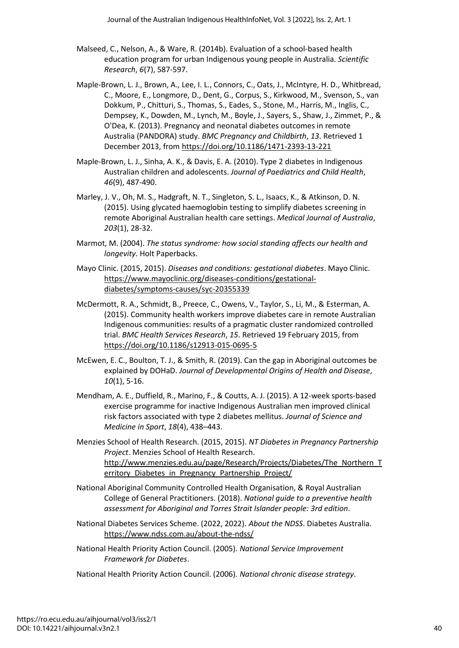- Malseed, C., Nelson, A., & Ware, R. (2014b). Evaluation of a school-based health education program for urban Indigenous young people in Australia. *Scientific Research*, *6*(7), 587-597.
- Maple-Brown, L. J., Brown, A., Lee, I. L., Connors, C., Oats, J., McIntyre, H. D., Whitbread, C., Moore, E., Longmore, D., Dent, G., Corpus, S., Kirkwood, M., Svenson, S., van Dokkum, P., Chitturi, S., Thomas, S., Eades, S., Stone, M., Harris, M., Inglis, C., Dempsey, K., Dowden, M., Lynch, M., Boyle, J., Sayers, S., Shaw, J., Zimmet, P., & O'Dea, K. (2013). Pregnancy and neonatal diabetes outcomes in remote Australia (PANDORA) study. *BMC Pregnancy and Childbirth*, *13*. Retrieved 1 December 2013, from<https://doi.org/10.1186/1471-2393-13-221>
- Maple-Brown, L. J., Sinha, A. K., & Davis, E. A. (2010). Type 2 diabetes in Indigenous Australian children and adolescents. *Journal of Paediatrics and Child Health*, *46*(9), 487-490.
- Marley, J. V., Oh, M. S., Hadgraft, N. T., Singleton, S. L., Isaacs, K., & Atkinson, D. N. (2015). Using glycated haemoglobin testing to simplify diabetes screening in remote Aboriginal Australian health care settings. *Medical Journal of Australia*, *203*(1), 28-32.
- Marmot, M. (2004). *The status syndrome: how social standing affects our health and longevity*. Holt Paperbacks.
- Mayo Clinic. (2015, 2015). *Diseases and conditions: gestational diabetes*. Mayo Clinic. [https://www.mayoclinic.org/diseases-conditions/gestational](https://www.mayoclinic.org/diseases-conditions/gestational-diabetes/symptoms-causes/syc-20355339)[diabetes/symptoms-causes/syc-20355339](https://www.mayoclinic.org/diseases-conditions/gestational-diabetes/symptoms-causes/syc-20355339)
- McDermott, R. A., Schmidt, B., Preece, C., Owens, V., Taylor, S., Li, M., & Esterman, A. (2015). Community health workers improve diabetes care in remote Australian Indigenous communities: results of a pragmatic cluster randomized controlled trial. *BMC Health Services Research*, *15*. Retrieved 19 February 2015, from <https://doi.org/10.1186/s12913-015-0695-5>
- McEwen, E. C., Boulton, T. J., & Smith, R. (2019). Can the gap in Aboriginal outcomes be explained by DOHaD. *Journal of Developmental Origins of Health and Disease*, *10*(1), 5-16.
- Mendham, A. E., Duffield, R., Marino, F., & Coutts, A. J. (2015). A 12-week sports-based exercise programme for inactive Indigenous Australian men improved clinical risk factors associated with type 2 diabetes mellitus. *Journal of Science and Medicine in Sport*, *18*(4), 438–443.
- Menzies School of Health Research. (2015, 2015). *NT Diabetes in Pregnancy Partnership Project*. Menzies School of Health Research. [http://www.menzies.edu.au/page/Research/Projects/Diabetes/The\\_Northern\\_T](http://www.menzies.edu.au/page/Research/Projects/Diabetes/The_Northern_Territory_Diabetes_in_Pregnancy_Partnership_Project/) erritory Diabetes in Pregnancy Partnership Project/
- National Aboriginal Community Controlled Health Organisation, & Royal Australian College of General Practitioners. (2018). *National guide to a preventive health assessment for Aboriginal and Torres Strait Islander people: 3rd edition*.
- National Diabetes Services Scheme. (2022, 2022). *About the NDSS*. Diabetes Australia. <https://www.ndss.com.au/about-the-ndss/>
- National Health Priority Action Council. (2005). *National Service Improvement Framework for Diabetes*.
- National Health Priority Action Council. (2006). *National chronic disease strategy*.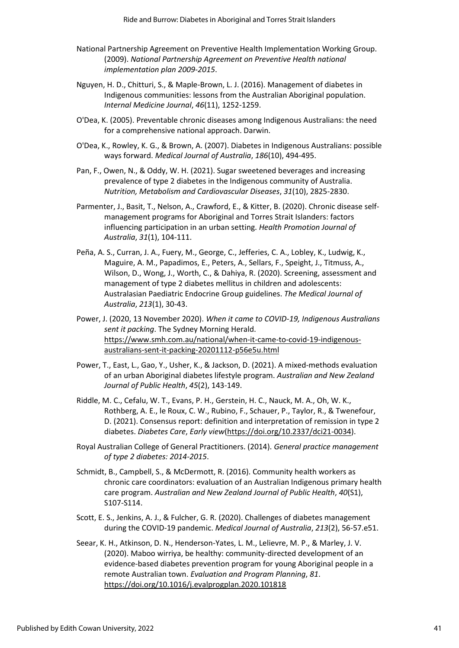- National Partnership Agreement on Preventive Health Implementation Working Group. (2009). *National Partnership Agreement on Preventive Health national implementation plan 2009-2015*.
- Nguyen, H. D., Chitturi, S., & Maple-Brown, L. J. (2016). Management of diabetes in Indigenous communities: lessons from the Australian Aboriginal population. *Internal Medicine Journal*, *46*(11), 1252-1259.
- O'Dea, K. (2005). Preventable chronic diseases among Indigenous Australians: the need for a comprehensive national approach. Darwin.
- O'Dea, K., Rowley, K. G., & Brown, A. (2007). Diabetes in Indigenous Australians: possible ways forward. *Medical Journal of Australia*, *186*(10), 494-495.
- Pan, F., Owen, N., & Oddy, W. H. (2021). Sugar sweetened beverages and increasing prevalence of type 2 diabetes in the Indigenous community of Australia. *Nutrition, Metabolism and Cardiovascular Diseases*, *31*(10), 2825-2830.
- Parmenter, J., Basit, T., Nelson, A., Crawford, E., & Kitter, B. (2020). Chronic disease self‐ management programs for Aboriginal and Torres Strait Islanders: factors influencing participation in an urban setting. *Health Promotion Journal of Australia*, *31*(1), 104-111.
- Peña, A. S., Curran, J. A., Fuery, M., George, C., Jefferies, C. A., Lobley, K., Ludwig, K., Maguire, A. M., Papadimos, E., Peters, A., Sellars, F., Speight, J., Titmuss, A., Wilson, D., Wong, J., Worth, C., & Dahiya, R. (2020). Screening, assessment and management of type 2 diabetes mellitus in children and adolescents: Australasian Paediatric Endocrine Group guidelines. *The Medical Journal of Australia*, *213*(1), 30-43.
- Power, J. (2020, 13 November 2020). *When it came to COVID-19, Indigenous Australians sent it packing*. The Sydney Morning Herald. [https://www.smh.com.au/national/when-it-came-to-covid-19-indigenous](https://www.smh.com.au/national/when-it-came-to-covid-19-indigenous-australians-sent-it-packing-20201112-p56e5u.html)[australians-sent-it-packing-20201112-p56e5u.html](https://www.smh.com.au/national/when-it-came-to-covid-19-indigenous-australians-sent-it-packing-20201112-p56e5u.html)
- Power, T., East, L., Gao, Y., Usher, K., & Jackson, D. (2021). A mixed‐methods evaluation of an urban Aboriginal diabetes lifestyle program. *Australian and New Zealand Journal of Public Health*, *45*(2), 143-149.
- Riddle, M. C., Cefalu, W. T., Evans, P. H., Gerstein, H. C., Nauck, M. A., Oh, W. K., Rothberg, A. E., le Roux, C. W., Rubino, F., Schauer, P., Taylor, R., & Twenefour, D. (2021). Consensus report: definition and interpretation of remission in type 2 diabetes. *Diabetes Care*, *Early view*[\(https://doi.org/10.2337/dci21-0034\)](https://doi.org/10.2337/dci21-0034).
- Royal Australian College of General Practitioners. (2014). *General practice management of type 2 diabetes: 2014-2015*.
- Schmidt, B., Campbell, S., & McDermott, R. (2016). Community health workers as chronic care coordinators: evaluation of an Australian Indigenous primary health care program. *Australian and New Zealand Journal of Public Health*, *40*(S1), S107-S114.
- Scott, E. S., Jenkins, A. J., & Fulcher, G. R. (2020). Challenges of diabetes management during the COVID-19 pandemic. *Medical Journal of Australia*, *213*(2), 56-57.e51.
- Seear, K. H., Atkinson, D. N., Henderson-Yates, L. M., Lelievre, M. P., & Marley, J. V. (2020). Maboo wirriya, be healthy: community-directed development of an evidence-based diabetes prevention program for young Aboriginal people in a remote Australian town. *Evaluation and Program Planning*, *81*. <https://doi.org/10.1016/j.evalprogplan.2020.101818>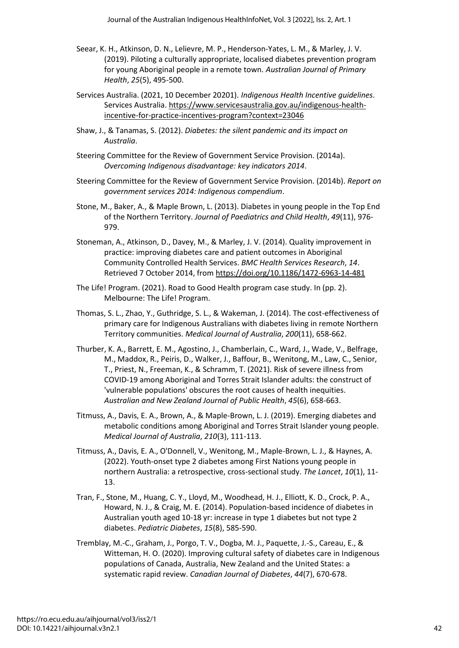- Seear, K. H., Atkinson, D. N., Lelievre, M. P., Henderson-Yates, L. M., & Marley, J. V. (2019). Piloting a culturally appropriate, localised diabetes prevention program for young Aboriginal people in a remote town. *Australian Journal of Primary Health*, *25*(5), 495-500.
- Services Australia. (2021, 10 December 20201). *Indigenous Health Incentive guidelines*. Services Australia. [https://www.servicesaustralia.gov.au/indigenous-health](https://www.servicesaustralia.gov.au/indigenous-health-incentive-for-practice-incentives-program?context=23046)[incentive-for-practice-incentives-program?context=23046](https://www.servicesaustralia.gov.au/indigenous-health-incentive-for-practice-incentives-program?context=23046)
- Shaw, J., & Tanamas, S. (2012). *Diabetes: the silent pandemic and its impact on Australia*.
- Steering Committee for the Review of Government Service Provision. (2014a). *Overcoming Indigenous disadvantage: key indicators 2014*.
- Steering Committee for the Review of Government Service Provision. (2014b). *Report on government services 2014: Indigenous compendium*.
- Stone, M., Baker, A., & Maple Brown, L. (2013). Diabetes in young people in the Top End of the Northern Territory. *Journal of Paediatrics and Child Health*, *49*(11), 976- 979.
- Stoneman, A., Atkinson, D., Davey, M., & Marley, J. V. (2014). Quality improvement in practice: improving diabetes care and patient outcomes in Aboriginal Community Controlled Health Services. *BMC Health Services Research*, *14*. Retrieved 7 October 2014, from<https://doi.org/10.1186/1472-6963-14-481>
- The Life! Program. (2021). Road to Good Health program case study. In (pp. 2). Melbourne: The Life! Program.
- Thomas, S. L., Zhao, Y., Guthridge, S. L., & Wakeman, J. (2014). The cost-effectiveness of primary care for Indigenous Australians with diabetes living in remote Northern Territory communities. *Medical Journal of Australia*, *200*(11), 658-662.
- Thurber, K. A., Barrett, E. M., Agostino, J., Chamberlain, C., Ward, J., Wade, V., Belfrage, M., Maddox, R., Peiris, D., Walker, J., Baffour, B., Wenitong, M., Law, C., Senior, T., Priest, N., Freeman, K., & Schramm, T. (2021). Risk of severe illness from COVID-19 among Aboriginal and Torres Strait Islander adults: the construct of 'vulnerable populations' obscures the root causes of health inequities. *Australian and New Zealand Journal of Public Health*, *45*(6), 658-663.
- Titmuss, A., Davis, E. A., Brown, A., & Maple-Brown, L. J. (2019). Emerging diabetes and metabolic conditions among Aboriginal and Torres Strait Islander young people. *Medical Journal of Australia*, *210*(3), 111-113.
- Titmuss, A., Davis, E. A., O'Donnell, V., Wenitong, M., Maple-Brown, L. J., & Haynes, A. (2022). Youth-onset type 2 diabetes among First Nations young people in northern Australia: a retrospective, cross-sectional study. *The Lancet*, *10*(1), 11- 13.
- Tran, F., Stone, M., Huang, C. Y., Lloyd, M., Woodhead, H. J., Elliott, K. D., Crock, P. A., Howard, N. J., & Craig, M. E. (2014). Population-based incidence of diabetes in Australian youth aged 10-18 yr: increase in type 1 diabetes but not type 2 diabetes. *Pediatric Diabetes*, *15*(8), 585-590.
- Tremblay, M.-C., Graham, J., Porgo, T. V., Dogba, M. J., Paquette, J.-S., Careau, E., & Witteman, H. O. (2020). Improving cultural safety of diabetes care in Indigenous populations of Canada, Australia, New Zealand and the United States: a systematic rapid review. *Canadian Journal of Diabetes*, *44*(7), 670-678.